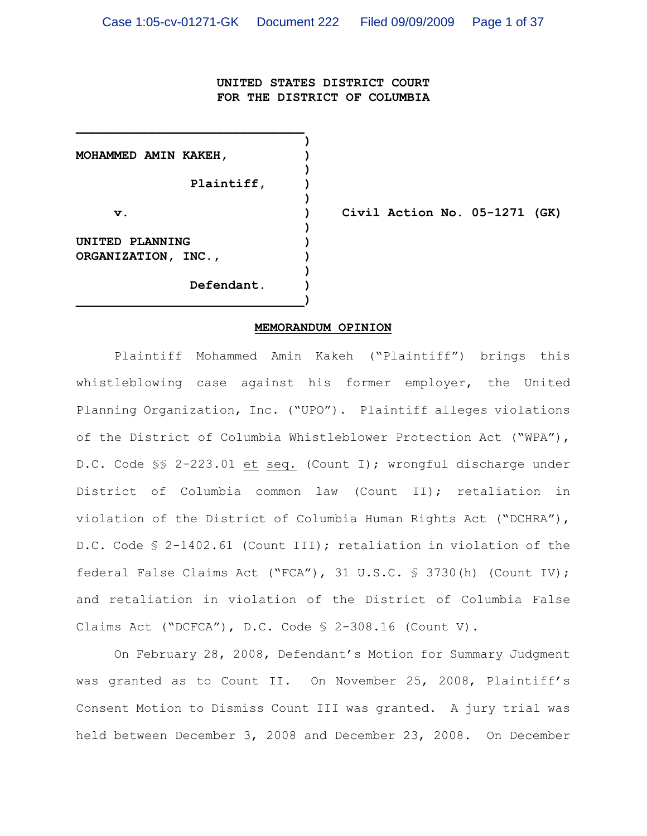# **UNITED STATES DISTRICT COURT FOR THE DISTRICT OF COLUMBIA**

**) MOHAMMED AMIN KAKEH, ) ) Plaintiff, ) ) ) UNITED PLANNING ) ORGANIZATION, INC., ) ) Defendant. ) \_\_\_\_\_\_\_\_\_\_\_\_\_\_\_\_\_\_\_\_\_\_\_\_\_\_\_\_\_\_)**

**\_\_\_\_\_\_\_\_\_\_\_\_\_\_\_\_\_\_\_\_\_\_\_\_\_\_\_\_\_\_**

**v. ) Civil Action No. 05-1271 (GK)**

### **MEMORANDUM OPINION**

Plaintiff Mohammed Amin Kakeh ("Plaintiff") brings this whistleblowing case against his former employer, the United Planning Organization, Inc. ("UPO"). Plaintiff alleges violations of the District of Columbia Whistleblower Protection Act ("WPA"), D.C. Code §§ 2-223.01 et seq. (Count I); wrongful discharge under District of Columbia common law (Count II); retaliation in violation of the District of Columbia Human Rights Act ("DCHRA"), D.C. Code § 2-1402.61 (Count III); retaliation in violation of the federal False Claims Act ("FCA"), 31 U.S.C. § 3730(h) (Count IV); and retaliation in violation of the District of Columbia False Claims Act ("DCFCA"), D.C. Code § 2-308.16 (Count V).

On February 28, 2008, Defendant's Motion for Summary Judgment was granted as to Count II. On November 25, 2008, Plaintiff's Consent Motion to Dismiss Count III was granted. A jury trial was held between December 3, 2008 and December 23, 2008. On December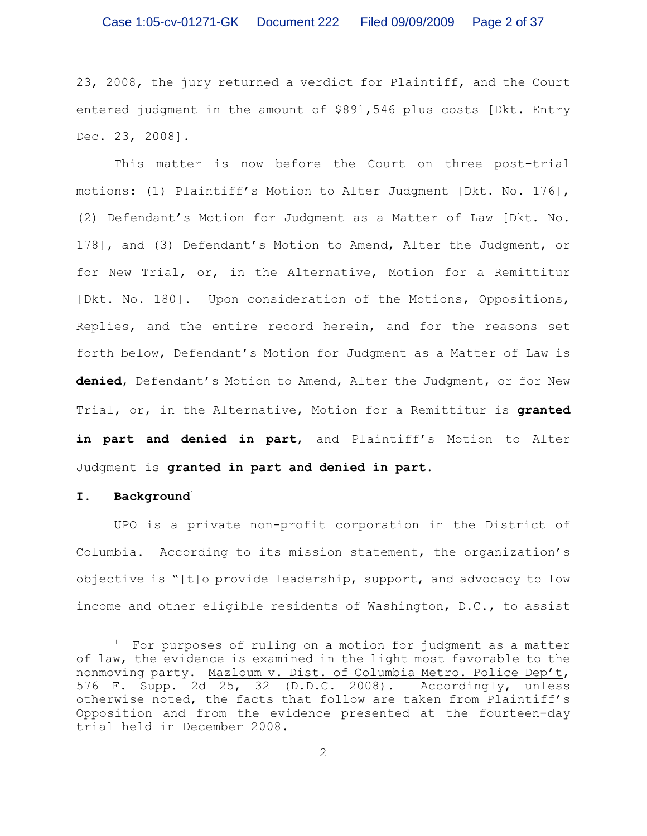23, 2008, the jury returned a verdict for Plaintiff, and the Court entered judgment in the amount of \$891,546 plus costs [Dkt. Entry Dec. 23, 2008].

This matter is now before the Court on three post-trial motions: (1) Plaintiff's Motion to Alter Judgment [Dkt. No. 176], (2) Defendant's Motion for Judgment as a Matter of Law [Dkt. No. 178], and (3) Defendant's Motion to Amend, Alter the Judgment, or for New Trial, or, in the Alternative, Motion for a Remittitur [Dkt. No. 180]. Upon consideration of the Motions, Oppositions, Replies, and the entire record herein, and for the reasons set forth below, Defendant's Motion for Judgment as a Matter of Law is **denied**, Defendant's Motion to Amend, Alter the Judgment, or for New Trial, or, in the Alternative, Motion for a Remittitur is **granted in part and denied in part**, and Plaintiff's Motion to Alter Judgment is **granted in part and denied in part**.

### **I. Background**<sup>1</sup>

UPO is a private non-profit corporation in the District of Columbia. According to its mission statement, the organization's objective is "[t]o provide leadership, support, and advocacy to low income and other eligible residents of Washington, D.C., to assist

 $1$  For purposes of ruling on a motion for judgment as a matter of law, the evidence is examined in the light most favorable to the nonmoving party. Mazloum v. Dist. of Columbia Metro. Police Dep't, 576 F. Supp. 2d 25, 32 (D.D.C. 2008). Accordingly, unless otherwise noted, the facts that follow are taken from Plaintiff's Opposition and from the evidence presented at the fourteen-day trial held in December 2008.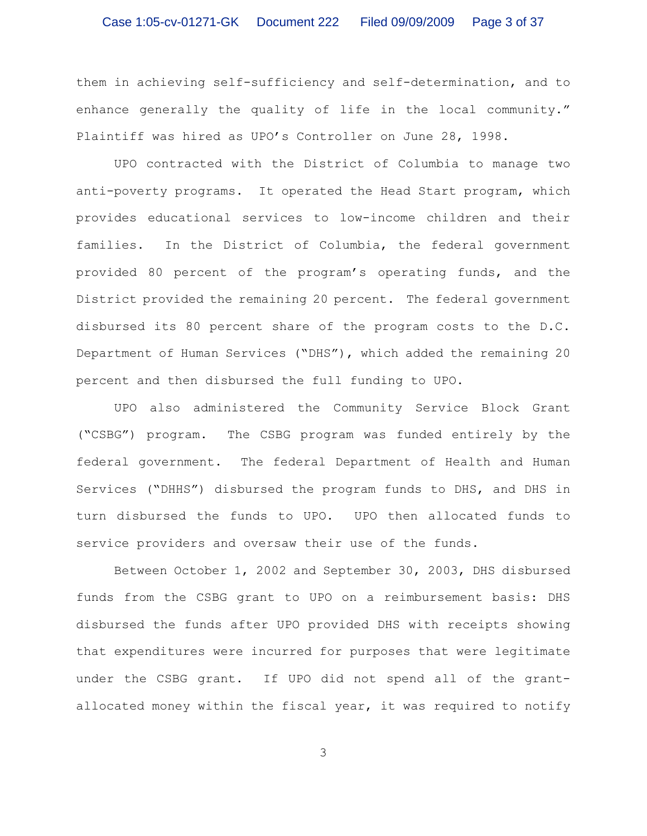them in achieving self-sufficiency and self-determination, and to enhance generally the quality of life in the local community." Plaintiff was hired as UPO's Controller on June 28, 1998.

UPO contracted with the District of Columbia to manage two anti-poverty programs. It operated the Head Start program, which provides educational services to low-income children and their families. In the District of Columbia, the federal government provided 80 percent of the program's operating funds, and the District provided the remaining 20 percent. The federal government disbursed its 80 percent share of the program costs to the D.C. Department of Human Services ("DHS"), which added the remaining 20 percent and then disbursed the full funding to UPO.

UPO also administered the Community Service Block Grant ("CSBG") program. The CSBG program was funded entirely by the federal government. The federal Department of Health and Human Services ("DHHS") disbursed the program funds to DHS, and DHS in turn disbursed the funds to UPO. UPO then allocated funds to service providers and oversaw their use of the funds.

Between October 1, 2002 and September 30, 2003, DHS disbursed funds from the CSBG grant to UPO on a reimbursement basis: DHS disbursed the funds after UPO provided DHS with receipts showing that expenditures were incurred for purposes that were legitimate under the CSBG grant. If UPO did not spend all of the grantallocated money within the fiscal year, it was required to notify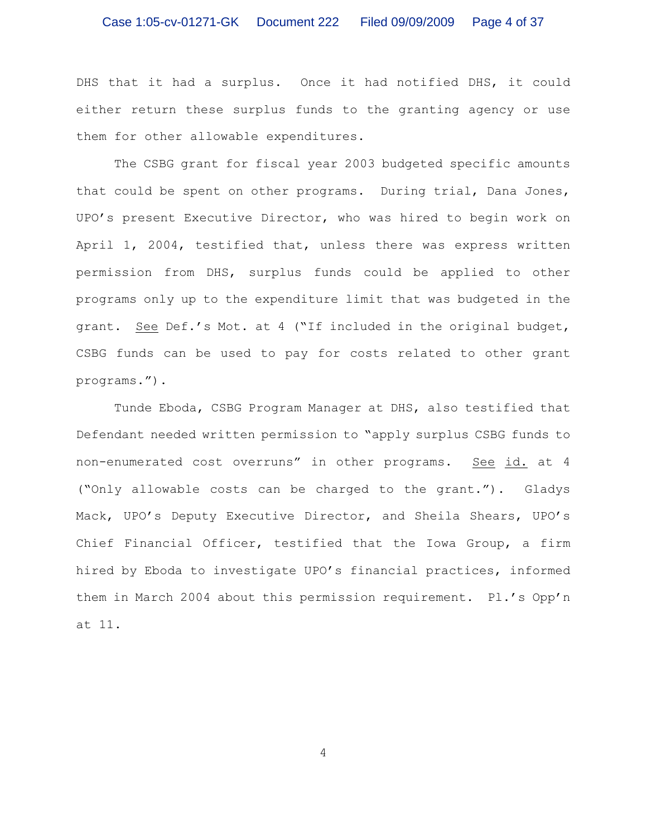DHS that it had a surplus. Once it had notified DHS, it could either return these surplus funds to the granting agency or use them for other allowable expenditures.

The CSBG grant for fiscal year 2003 budgeted specific amounts that could be spent on other programs. During trial, Dana Jones, UPO's present Executive Director, who was hired to begin work on April 1, 2004, testified that, unless there was express written permission from DHS, surplus funds could be applied to other programs only up to the expenditure limit that was budgeted in the grant. See Def.'s Mot. at 4 ("If included in the original budget, CSBG funds can be used to pay for costs related to other grant programs.").

Tunde Eboda, CSBG Program Manager at DHS, also testified that Defendant needed written permission to "apply surplus CSBG funds to non-enumerated cost overruns" in other programs. See id. at 4 ("Only allowable costs can be charged to the grant."). Gladys Mack, UPO's Deputy Executive Director, and Sheila Shears, UPO's Chief Financial Officer, testified that the Iowa Group, a firm hired by Eboda to investigate UPO's financial practices, informed them in March 2004 about this permission requirement. Pl.'s Opp'n at 11.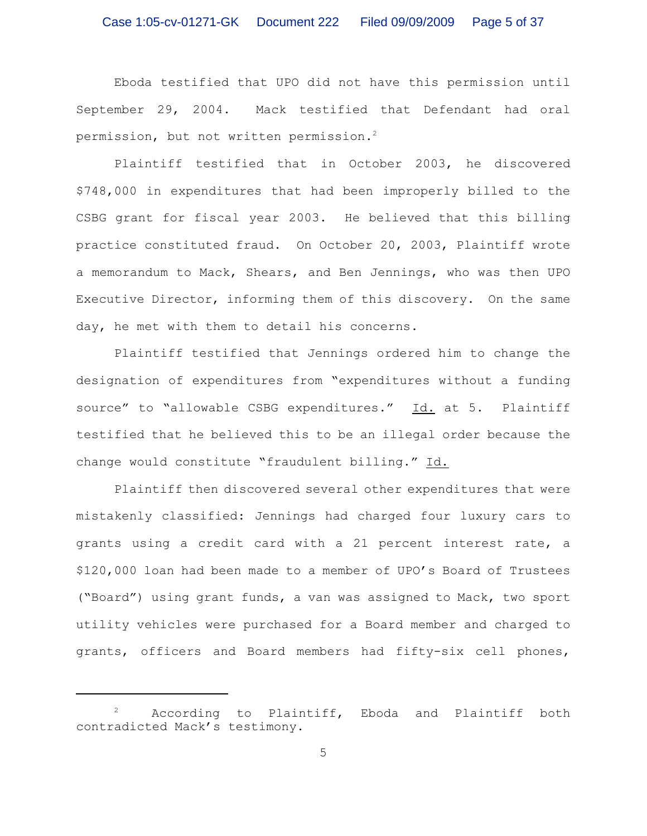Eboda testified that UPO did not have this permission until September 29, 2004. Mack testified that Defendant had oral permission, but not written permission.<sup>2</sup>

Plaintiff testified that in October 2003, he discovered \$748,000 in expenditures that had been improperly billed to the CSBG grant for fiscal year 2003. He believed that this billing practice constituted fraud. On October 20, 2003, Plaintiff wrote a memorandum to Mack, Shears, and Ben Jennings, who was then UPO Executive Director, informing them of this discovery. On the same day, he met with them to detail his concerns.

Plaintiff testified that Jennings ordered him to change the designation of expenditures from "expenditures without a funding source" to "allowable CSBG expenditures." Id. at 5. Plaintiff testified that he believed this to be an illegal order because the change would constitute "fraudulent billing." Id.

Plaintiff then discovered several other expenditures that were mistakenly classified: Jennings had charged four luxury cars to grants using a credit card with a 21 percent interest rate, a \$120,000 loan had been made to a member of UPO's Board of Trustees ("Board") using grant funds, a van was assigned to Mack, two sport utility vehicles were purchased for a Board member and charged to grants, officers and Board members had fifty-six cell phones,

 $2^2$  According to Plaintiff, Eboda and Plaintiff both contradicted Mack's testimony.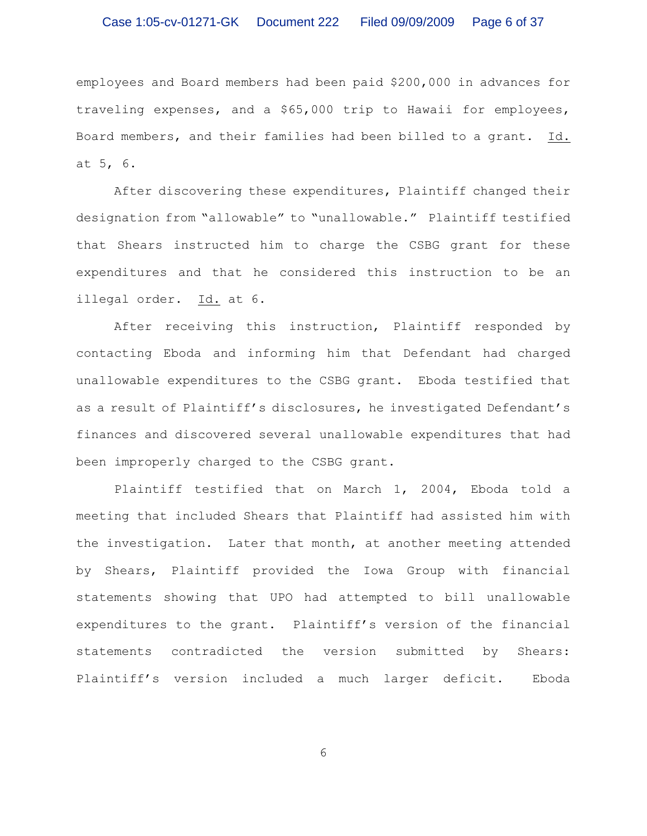# Case 1:05-cv-01271-GK Document 222 Filed 09/09/2009 Page 6 of 37

employees and Board members had been paid \$200,000 in advances for traveling expenses, and a \$65,000 trip to Hawaii for employees, Board members, and their families had been billed to a grant. Id. at 5, 6.

After discovering these expenditures, Plaintiff changed their designation from "allowable" to "unallowable." Plaintiff testified that Shears instructed him to charge the CSBG grant for these expenditures and that he considered this instruction to be an illegal order. Id. at 6.

After receiving this instruction, Plaintiff responded by contacting Eboda and informing him that Defendant had charged unallowable expenditures to the CSBG grant. Eboda testified that as a result of Plaintiff's disclosures, he investigated Defendant's finances and discovered several unallowable expenditures that had been improperly charged to the CSBG grant.

Plaintiff testified that on March 1, 2004, Eboda told a meeting that included Shears that Plaintiff had assisted him with the investigation. Later that month, at another meeting attended by Shears, Plaintiff provided the Iowa Group with financial statements showing that UPO had attempted to bill unallowable expenditures to the grant. Plaintiff's version of the financial statements contradicted the version submitted by Shears: Plaintiff's version included a much larger deficit. Eboda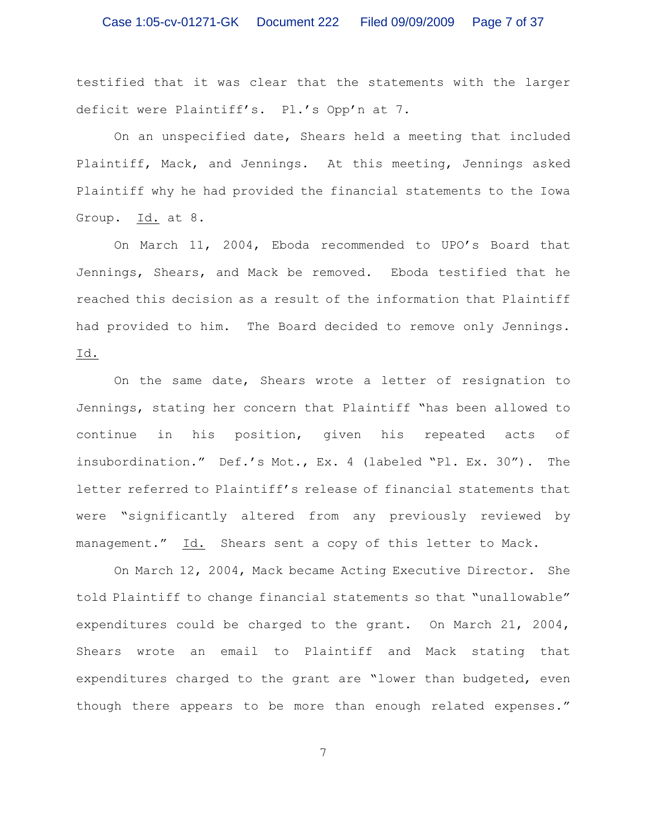testified that it was clear that the statements with the larger deficit were Plaintiff's. Pl.'s Opp'n at 7.

On an unspecified date, Shears held a meeting that included Plaintiff, Mack, and Jennings. At this meeting, Jennings asked Plaintiff why he had provided the financial statements to the Iowa Group. Id. at 8.

On March 11, 2004, Eboda recommended to UPO's Board that Jennings, Shears, and Mack be removed. Eboda testified that he reached this decision as a result of the information that Plaintiff had provided to him. The Board decided to remove only Jennings. Id.

On the same date, Shears wrote a letter of resignation to Jennings, stating her concern that Plaintiff "has been allowed to continue in his position, given his repeated acts of insubordination." Def.'s Mot., Ex. 4 (labeled "Pl. Ex. 30"). The letter referred to Plaintiff's release of financial statements that were "significantly altered from any previously reviewed by management." Id. Shears sent a copy of this letter to Mack.

On March 12, 2004, Mack became Acting Executive Director. She told Plaintiff to change financial statements so that "unallowable" expenditures could be charged to the grant. On March 21, 2004, Shears wrote an email to Plaintiff and Mack stating that expenditures charged to the grant are "lower than budgeted, even though there appears to be more than enough related expenses."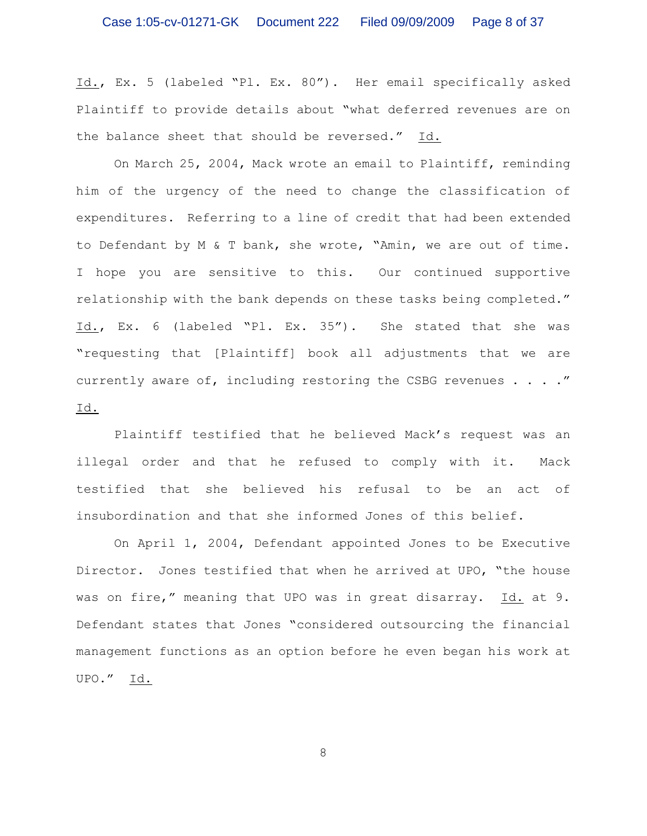Id., Ex. 5 (labeled "Pl. Ex. 80"). Her email specifically asked Plaintiff to provide details about "what deferred revenues are on the balance sheet that should be reversed." Id.

On March 25, 2004, Mack wrote an email to Plaintiff, reminding him of the urgency of the need to change the classification of expenditures. Referring to a line of credit that had been extended to Defendant by M & T bank, she wrote, "Amin, we are out of time. I hope you are sensitive to this. Our continued supportive relationship with the bank depends on these tasks being completed." Id., Ex. 6 (labeled "Pl. Ex. 35"). She stated that she was "requesting that [Plaintiff] book all adjustments that we are currently aware of, including restoring the CSBG revenues . . . . " Id.

Plaintiff testified that he believed Mack's request was an illegal order and that he refused to comply with it. Mack testified that she believed his refusal to be an act of insubordination and that she informed Jones of this belief.

On April 1, 2004, Defendant appointed Jones to be Executive Director. Jones testified that when he arrived at UPO, "the house was on fire," meaning that UPO was in great disarray. Id. at 9. Defendant states that Jones "considered outsourcing the financial management functions as an option before he even began his work at UPO." Id.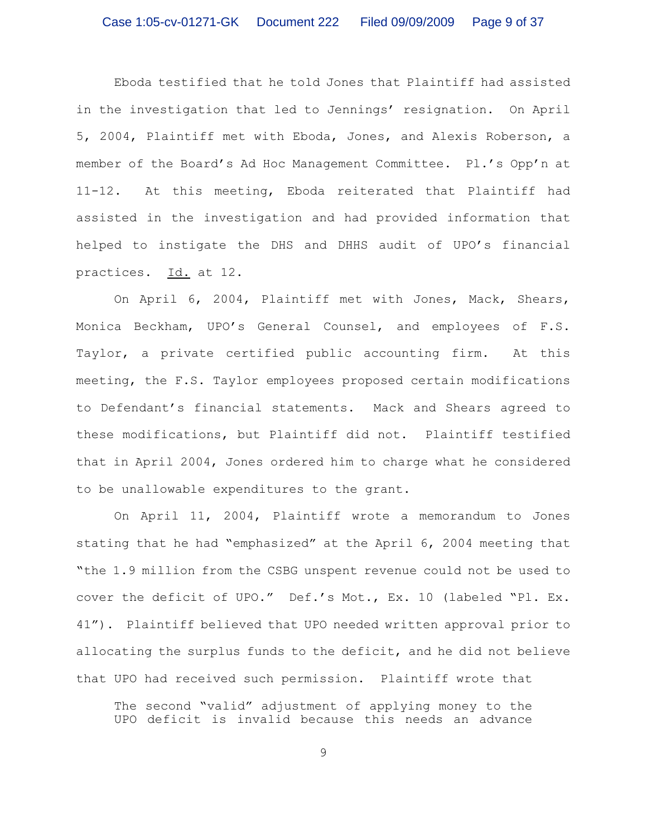Eboda testified that he told Jones that Plaintiff had assisted in the investigation that led to Jennings' resignation. On April 5, 2004, Plaintiff met with Eboda, Jones, and Alexis Roberson, a member of the Board's Ad Hoc Management Committee. Pl.'s Opp'n at 11-12. At this meeting, Eboda reiterated that Plaintiff had assisted in the investigation and had provided information that helped to instigate the DHS and DHHS audit of UPO's financial practices. Id. at 12.

On April 6, 2004, Plaintiff met with Jones, Mack, Shears, Monica Beckham, UPO's General Counsel, and employees of F.S. Taylor, a private certified public accounting firm. At this meeting, the F.S. Taylor employees proposed certain modifications to Defendant's financial statements. Mack and Shears agreed to these modifications, but Plaintiff did not. Plaintiff testified that in April 2004, Jones ordered him to charge what he considered to be unallowable expenditures to the grant.

On April 11, 2004, Plaintiff wrote a memorandum to Jones stating that he had "emphasized" at the April 6, 2004 meeting that "the 1.9 million from the CSBG unspent revenue could not be used to cover the deficit of UPO." Def.'s Mot., Ex. 10 (labeled "Pl. Ex. 41"). Plaintiff believed that UPO needed written approval prior to allocating the surplus funds to the deficit, and he did not believe that UPO had received such permission. Plaintiff wrote that

The second "valid" adjustment of applying money to the UPO deficit is invalid because this needs an advance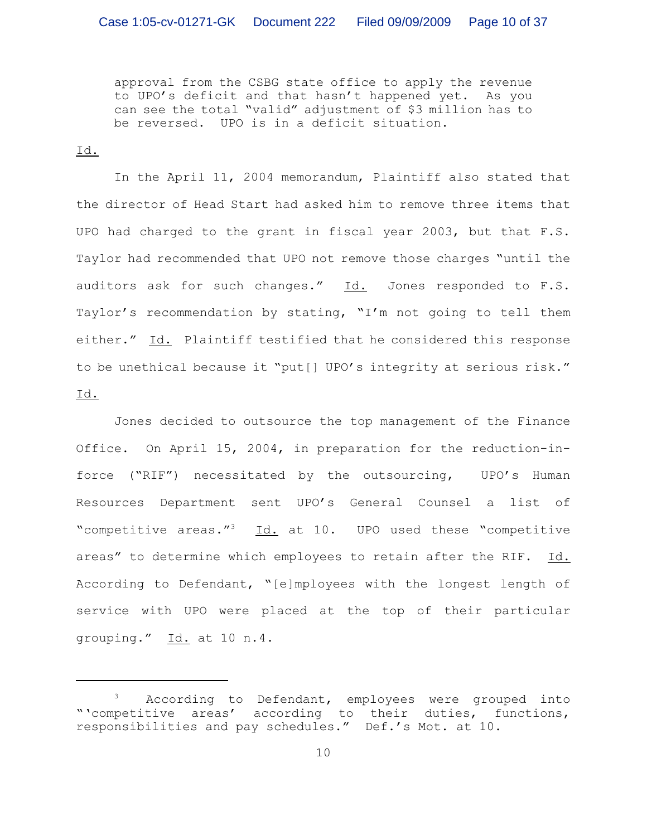approval from the CSBG state office to apply the revenue to UPO's deficit and that hasn't happened yet. As you can see the total "valid" adjustment of \$3 million has to be reversed. UPO is in a deficit situation.

### Id.

In the April 11, 2004 memorandum, Plaintiff also stated that the director of Head Start had asked him to remove three items that UPO had charged to the grant in fiscal year 2003, but that F.S. Taylor had recommended that UPO not remove those charges "until the auditors ask for such changes." Id. Jones responded to F.S. Taylor's recommendation by stating, "I'm not going to tell them either." Id. Plaintiff testified that he considered this response to be unethical because it "put[] UPO's integrity at serious risk." Id.

Jones decided to outsource the top management of the Finance Office. On April 15, 2004, in preparation for the reduction-inforce ("RIF") necessitated by the outsourcing, UPO's Human Resources Department sent UPO's General Counsel a list of "competitive areas."<sup>3</sup> Id. at 10. UPO used these "competitive areas" to determine which employees to retain after the RIF. Id. According to Defendant, "[e]mployees with the longest length of service with UPO were placed at the top of their particular grouping." Id. at 10 n.4.

 $3$  According to Defendant, employees were grouped into "'competitive areas' according to their duties, functions, responsibilities and pay schedules." Def.'s Mot. at 10.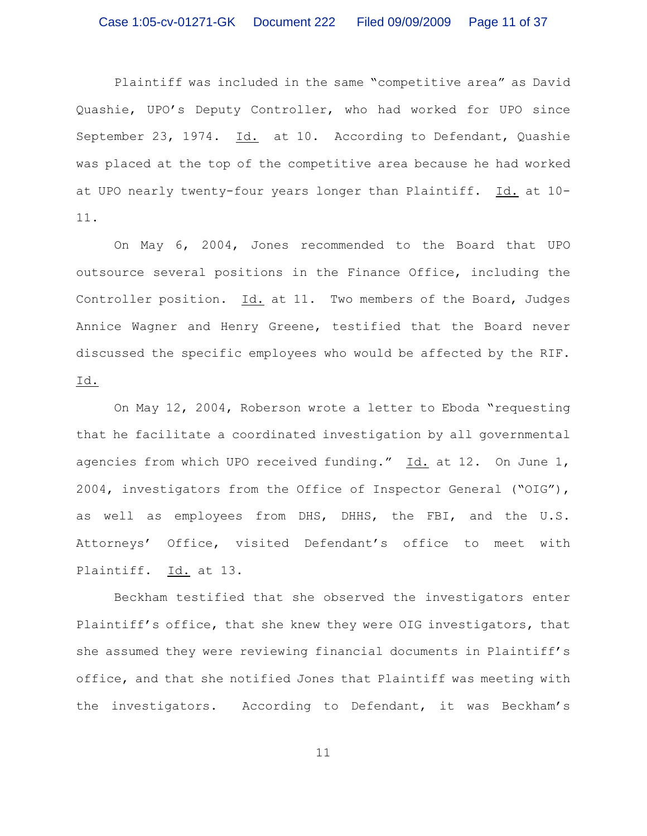Plaintiff was included in the same "competitive area" as David Quashie, UPO's Deputy Controller, who had worked for UPO since September 23, 1974. Id. at 10. According to Defendant, Quashie was placed at the top of the competitive area because he had worked at UPO nearly twenty-four years longer than Plaintiff. Id. at 10- 11.

On May 6, 2004, Jones recommended to the Board that UPO outsource several positions in the Finance Office, including the Controller position. Id. at 11. Two members of the Board, Judges Annice Wagner and Henry Greene, testified that the Board never discussed the specific employees who would be affected by the RIF. Id.

On May 12, 2004, Roberson wrote a letter to Eboda "requesting that he facilitate a coordinated investigation by all governmental agencies from which UPO received funding." Id. at 12. On June 1, 2004, investigators from the Office of Inspector General ("OIG"), as well as employees from DHS, DHHS, the FBI, and the U.S. Attorneys' Office, visited Defendant's office to meet with Plaintiff. Id. at 13.

Beckham testified that she observed the investigators enter Plaintiff's office, that she knew they were OIG investigators, that she assumed they were reviewing financial documents in Plaintiff's office, and that she notified Jones that Plaintiff was meeting with the investigators. According to Defendant, it was Beckham's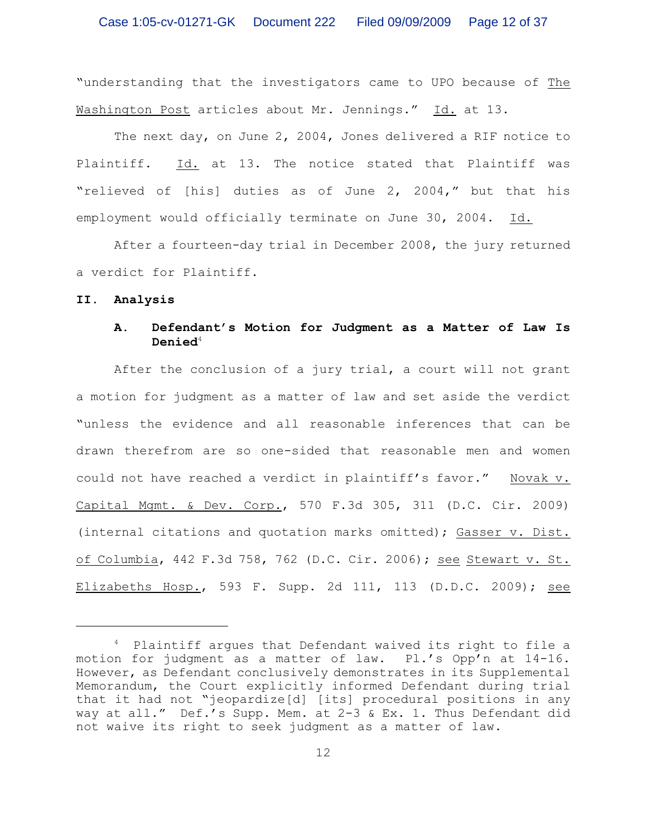"understanding that the investigators came to UPO because of The Washington Post articles about Mr. Jennings." Id. at 13.

The next day, on June 2, 2004, Jones delivered a RIF notice to Plaintiff. Id. at 13. The notice stated that Plaintiff was "relieved of [his] duties as of June 2, 2004," but that his employment would officially terminate on June 30, 2004. Id.

After a fourteen-day trial in December 2008, the jury returned a verdict for Plaintiff.

#### **II. Analysis**

# **A. Defendant's Motion for Judgment as a Matter of Law Is Denied**<sup>4</sup>

After the conclusion of a jury trial, a court will not grant a motion for judgment as a matter of law and set aside the verdict "unless the evidence and all reasonable inferences that can be drawn therefrom are so one-sided that reasonable men and women could not have reached a verdict in plaintiff's favor." Novak v. Capital Mgmt. & Dev. Corp., 570 F.3d 305, 311 (D.C. Cir. 2009) (internal citations and quotation marks omitted); Gasser v. Dist. of Columbia, 442 F.3d 758, 762 (D.C. Cir. 2006); see Stewart v. St. Elizabeths Hosp., 593 F. Supp. 2d 111, 113 (D.D.C. 2009); see

<sup>4</sup> Plaintiff arques that Defendant waived its right to file a motion for judgment as a matter of law. Pl.'s Opp'n at 14-16. However, as Defendant conclusively demonstrates in its Supplemental Memorandum, the Court explicitly informed Defendant during trial that it had not "jeopardize[d] [its] procedural positions in any way at all." Def.'s Supp. Mem. at 2-3 & Ex. 1. Thus Defendant did not waive its right to seek judgment as a matter of law.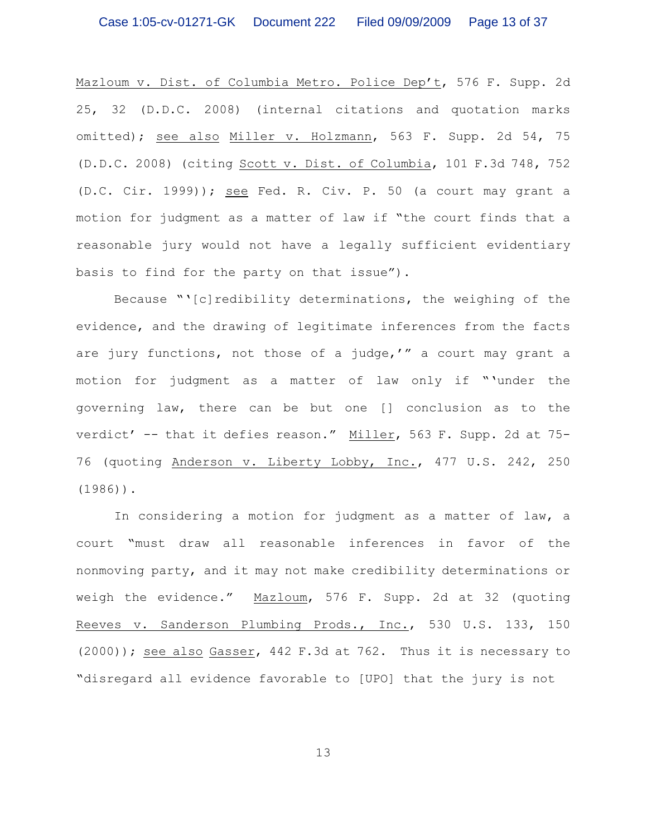Mazloum v. Dist. of Columbia Metro. Police Dep't, 576 F. Supp. 2d 25, 32 (D.D.C. 2008) (internal citations and quotation marks omitted); see also Miller v. Holzmann, 563 F. Supp. 2d 54, 75 (D.D.C. 2008) (citing Scott v. Dist. of Columbia, 101 F.3d 748, 752 (D.C. Cir. 1999)); see Fed. R. Civ. P. 50 (a court may grant a motion for judgment as a matter of law if "the court finds that a reasonable jury would not have a legally sufficient evidentiary basis to find for the party on that issue").

Because "'[c]redibility determinations, the weighing of the evidence, and the drawing of legitimate inferences from the facts are jury functions, not those of a judge,'" a court may grant a motion for judgment as a matter of law only if "'under the governing law, there can be but one [] conclusion as to the verdict' -- that it defies reason." Miller, 563 F. Supp. 2d at 75-76 (quoting Anderson v. Liberty Lobby, Inc., 477 U.S. 242, 250 (1986)).

In considering a motion for judgment as a matter of law, a court "must draw all reasonable inferences in favor of the nonmoving party, and it may not make credibility determinations or weigh the evidence." Mazloum, 576 F. Supp. 2d at 32 (quoting Reeves v. Sanderson Plumbing Prods., Inc., 530 U.S. 133, 150 (2000)); see also Gasser, 442 F.3d at 762. Thus it is necessary to "disregard all evidence favorable to [UPO] that the jury is not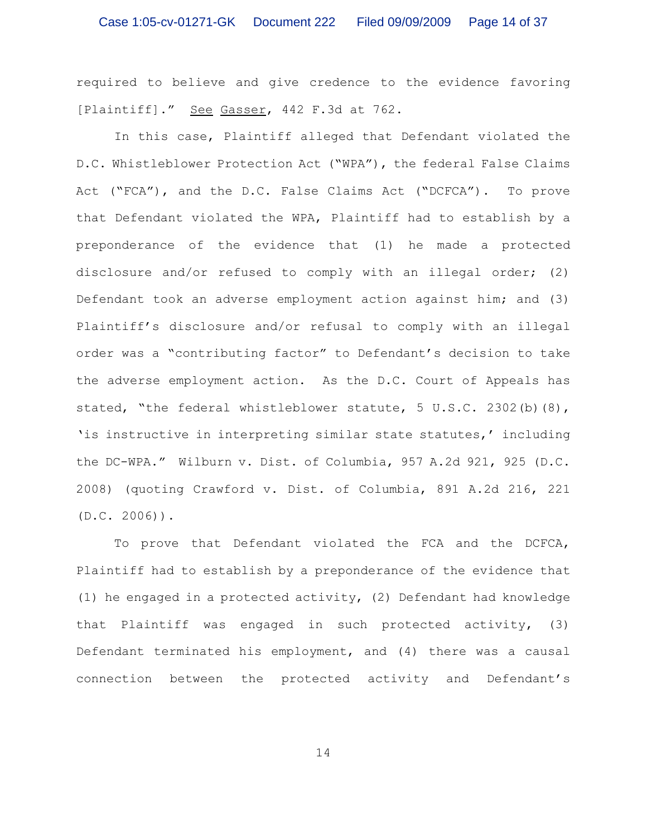required to believe and give credence to the evidence favoring [Plaintiff]." See Gasser, 442 F.3d at 762.

In this case, Plaintiff alleged that Defendant violated the D.C. Whistleblower Protection Act ("WPA"), the federal False Claims Act ("FCA"), and the D.C. False Claims Act ("DCFCA"). To prove that Defendant violated the WPA, Plaintiff had to establish by a preponderance of the evidence that (1) he made a protected disclosure and/or refused to comply with an illegal order; (2) Defendant took an adverse employment action against him; and (3) Plaintiff's disclosure and/or refusal to comply with an illegal order was a "contributing factor" to Defendant's decision to take the adverse employment action. As the D.C. Court of Appeals has stated, "the federal whistleblower statute, 5 U.S.C. 2302(b)(8), 'is instructive in interpreting similar state statutes,' including the DC-WPA." Wilburn v. Dist. of Columbia, 957 A.2d 921, 925 (D.C. 2008) (quoting Crawford v. Dist. of Columbia, 891 A.2d 216, 221 (D.C. 2006)).

To prove that Defendant violated the FCA and the DCFCA, Plaintiff had to establish by a preponderance of the evidence that (1) he engaged in a protected activity, (2) Defendant had knowledge that Plaintiff was engaged in such protected activity, (3) Defendant terminated his employment, and (4) there was a causal connection between the protected activity and Defendant's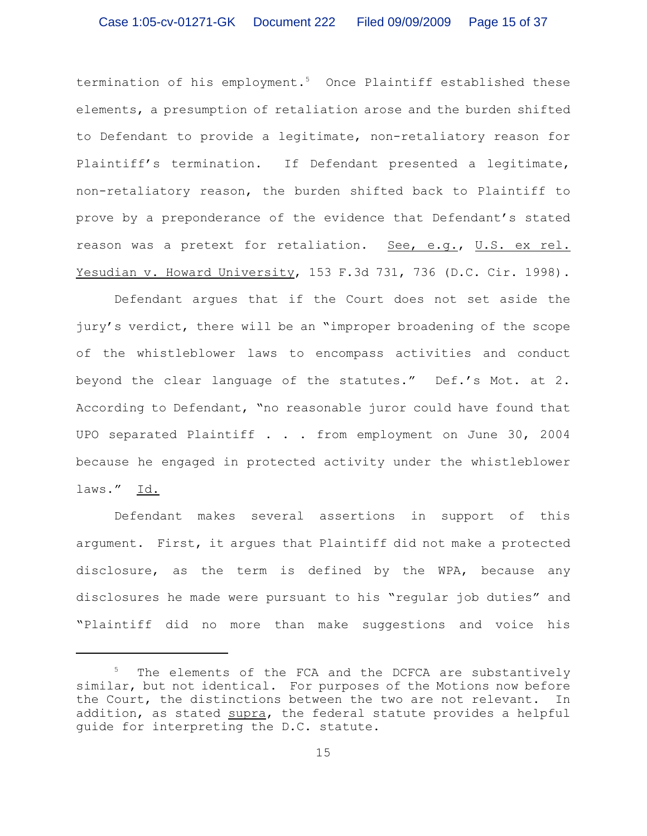termination of his employment. $5$  Once Plaintiff established these elements, a presumption of retaliation arose and the burden shifted to Defendant to provide a legitimate, non-retaliatory reason for Plaintiff's termination. If Defendant presented a legitimate, non-retaliatory reason, the burden shifted back to Plaintiff to prove by a preponderance of the evidence that Defendant's stated reason was a pretext for retaliation. See, e.g., U.S. ex rel. Yesudian v. Howard University, 153 F.3d 731, 736 (D.C. Cir. 1998).

Defendant argues that if the Court does not set aside the jury's verdict, there will be an "improper broadening of the scope of the whistleblower laws to encompass activities and conduct beyond the clear language of the statutes." Def.'s Mot. at 2. According to Defendant, "no reasonable juror could have found that UPO separated Plaintiff . . . from employment on June 30, 2004 because he engaged in protected activity under the whistleblower laws." Id.

Defendant makes several assertions in support of this argument. First, it argues that Plaintiff did not make a protected disclosure, as the term is defined by the WPA, because any disclosures he made were pursuant to his "regular job duties" and "Plaintiff did no more than make suggestions and voice his

The elements of the FCA and the DCFCA are substantively similar, but not identical. For purposes of the Motions now before the Court, the distinctions between the two are not relevant. In addition, as stated supra, the federal statute provides a helpful guide for interpreting the D.C. statute.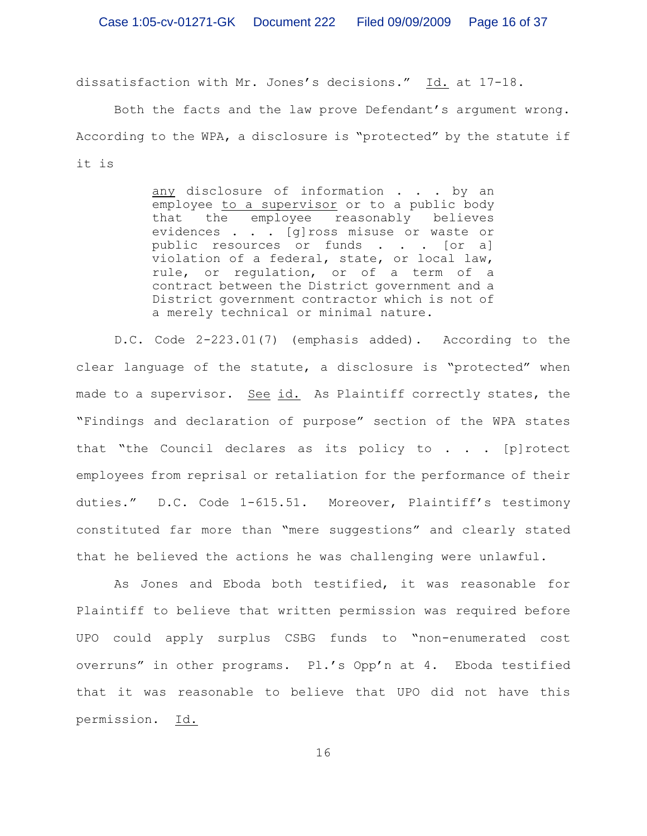dissatisfaction with Mr. Jones's decisions." Id. at 17-18.

Both the facts and the law prove Defendant's argument wrong. According to the WPA, a disclosure is "protected" by the statute if it is

> any disclosure of information . . . by an employee to a supervisor or to a public body that the employee reasonably believes evidences . . . [g]ross misuse or waste or public resources or funds . . . [or a] violation of a federal, state, or local law, rule, or regulation, or of a term of a contract between the District government and a District government contractor which is not of a merely technical or minimal nature.

D.C. Code 2-223.01(7) (emphasis added). According to the clear language of the statute, a disclosure is "protected" when made to a supervisor. See id. As Plaintiff correctly states, the "Findings and declaration of purpose" section of the WPA states that "the Council declares as its policy to  $\blacksquare$ . [p]rotect employees from reprisal or retaliation for the performance of their duties." D.C. Code 1-615.51. Moreover, Plaintiff's testimony constituted far more than "mere suggestions" and clearly stated that he believed the actions he was challenging were unlawful.

As Jones and Eboda both testified, it was reasonable for Plaintiff to believe that written permission was required before UPO could apply surplus CSBG funds to "non-enumerated cost overruns" in other programs. Pl.'s Opp'n at 4. Eboda testified that it was reasonable to believe that UPO did not have this permission. Id.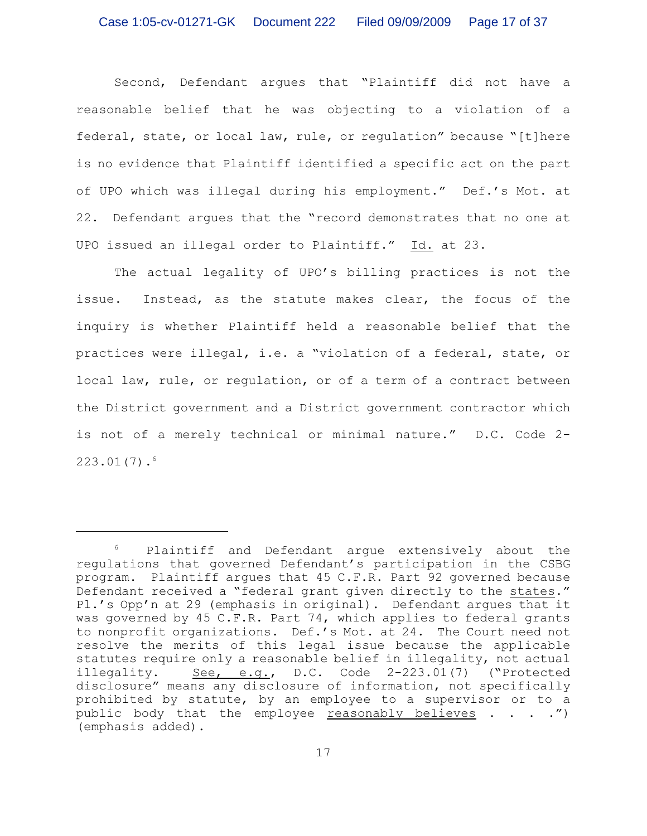Second, Defendant argues that "Plaintiff did not have a reasonable belief that he was objecting to a violation of a federal, state, or local law, rule, or regulation" because "[t]here is no evidence that Plaintiff identified a specific act on the part of UPO which was illegal during his employment." Def.'s Mot. at 22. Defendant argues that the "record demonstrates that no one at UPO issued an illegal order to Plaintiff." Id. at 23.

The actual legality of UPO's billing practices is not the issue. Instead, as the statute makes clear, the focus of the inquiry is whether Plaintiff held a reasonable belief that the practices were illegal, i.e. a "violation of a federal, state, or local law, rule, or regulation, or of a term of a contract between the District government and a District government contractor which is not of a merely technical or minimal nature." D.C. Code 2-  $223.01(7).$ <sup>6</sup>

 $6$  Plaintiff and Defendant argue extensively about the regulations that governed Defendant's participation in the CSBG program. Plaintiff argues that 45 C.F.R. Part 92 governed because Defendant received a "federal grant given directly to the states." Pl.'s Opp'n at 29 (emphasis in original). Defendant argues that it was governed by 45 C.F.R. Part 74, which applies to federal grants to nonprofit organizations. Def.'s Mot. at 24. The Court need not resolve the merits of this legal issue because the applicable statutes require only a reasonable belief in illegality, not actual illegality. See, e.g., D.C. Code 2-223.01(7) ("Protected disclosure" means any disclosure of information, not specifically prohibited by statute, by an employee to a supervisor or to a public body that the employee  $reasonably$  believes</u> . . . . ") (emphasis added).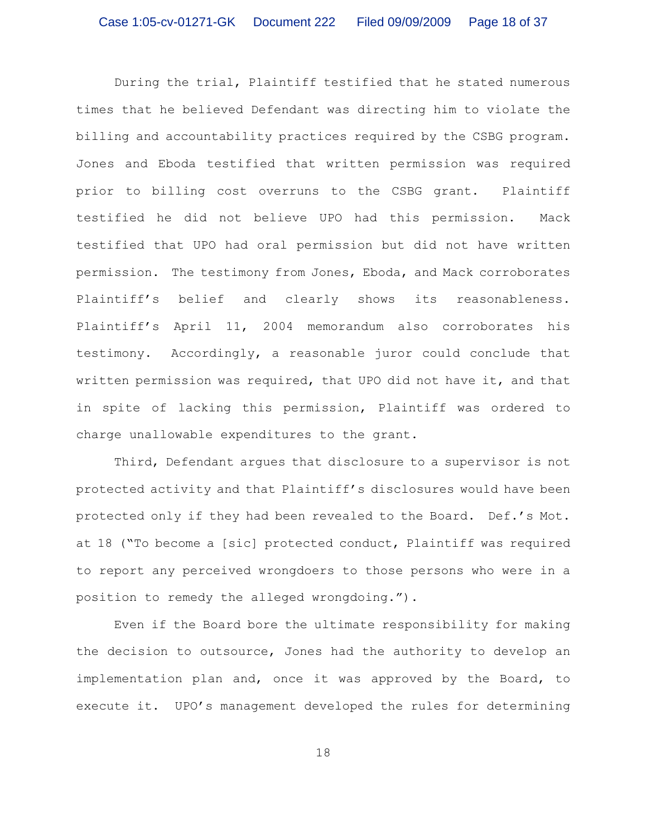During the trial, Plaintiff testified that he stated numerous times that he believed Defendant was directing him to violate the billing and accountability practices required by the CSBG program. Jones and Eboda testified that written permission was required prior to billing cost overruns to the CSBG grant. Plaintiff testified he did not believe UPO had this permission. Mack testified that UPO had oral permission but did not have written permission. The testimony from Jones, Eboda, and Mack corroborates Plaintiff's belief and clearly shows its reasonableness. Plaintiff's April 11, 2004 memorandum also corroborates his testimony. Accordingly, a reasonable juror could conclude that written permission was required, that UPO did not have it, and that in spite of lacking this permission, Plaintiff was ordered to charge unallowable expenditures to the grant.

Third, Defendant argues that disclosure to a supervisor is not protected activity and that Plaintiff's disclosures would have been protected only if they had been revealed to the Board. Def.'s Mot. at 18 ("To become a [sic] protected conduct, Plaintiff was required to report any perceived wrongdoers to those persons who were in a position to remedy the alleged wrongdoing.").

Even if the Board bore the ultimate responsibility for making the decision to outsource, Jones had the authority to develop an implementation plan and, once it was approved by the Board, to execute it. UPO's management developed the rules for determining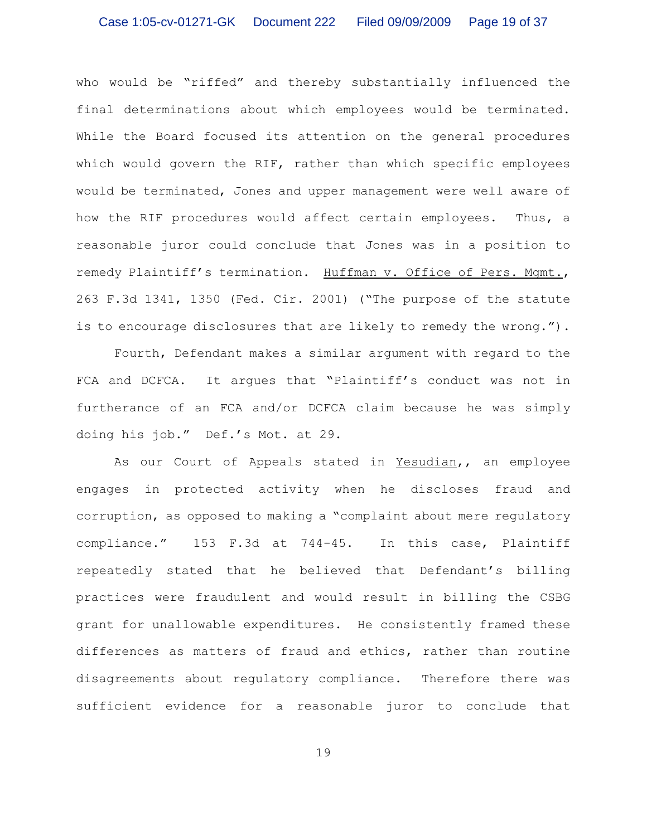who would be "riffed" and thereby substantially influenced the final determinations about which employees would be terminated. While the Board focused its attention on the general procedures which would govern the RIF, rather than which specific employees would be terminated, Jones and upper management were well aware of how the RIF procedures would affect certain employees. Thus, a reasonable juror could conclude that Jones was in a position to remedy Plaintiff's termination. Huffman v. Office of Pers. Mgmt., 263 F.3d 1341, 1350 (Fed. Cir. 2001) ("The purpose of the statute is to encourage disclosures that are likely to remedy the wrong.").

Fourth, Defendant makes a similar argument with regard to the FCA and DCFCA. It arques that "Plaintiff's conduct was not in furtherance of an FCA and/or DCFCA claim because he was simply doing his job." Def.'s Mot. at 29.

As our Court of Appeals stated in Yesudian,, an employee engages in protected activity when he discloses fraud and corruption, as opposed to making a "complaint about mere regulatory compliance." 153 F.3d at 744-45. In this case, Plaintiff repeatedly stated that he believed that Defendant's billing practices were fraudulent and would result in billing the CSBG grant for unallowable expenditures. He consistently framed these differences as matters of fraud and ethics, rather than routine disagreements about regulatory compliance. Therefore there was sufficient evidence for a reasonable juror to conclude that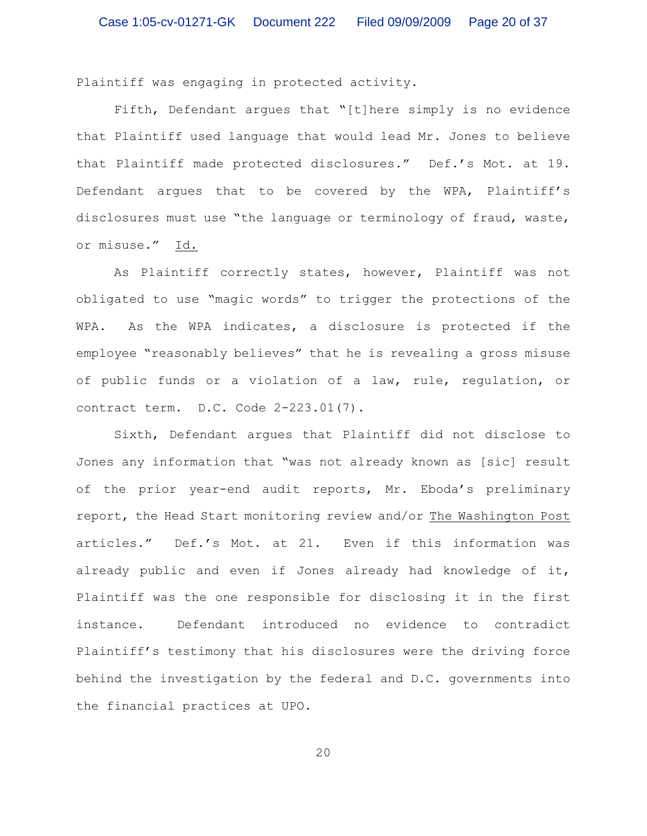Plaintiff was engaging in protected activity.

Fifth, Defendant argues that "[t]here simply is no evidence that Plaintiff used language that would lead Mr. Jones to believe that Plaintiff made protected disclosures." Def.'s Mot. at 19. Defendant argues that to be covered by the WPA, Plaintiff's disclosures must use "the language or terminology of fraud, waste, or misuse." Id.

As Plaintiff correctly states, however, Plaintiff was not obligated to use "magic words" to trigger the protections of the WPA. As the WPA indicates, a disclosure is protected if the employee "reasonably believes" that he is revealing a gross misuse of public funds or a violation of a law, rule, regulation, or contract term. D.C. Code 2-223.01(7).

Sixth, Defendant argues that Plaintiff did not disclose to Jones any information that "was not already known as [sic] result of the prior year-end audit reports, Mr. Eboda's preliminary report, the Head Start monitoring review and/or The Washington Post articles." Def.'s Mot. at 21. Even if this information was already public and even if Jones already had knowledge of it, Plaintiff was the one responsible for disclosing it in the first instance. Defendant introduced no evidence to contradict Plaintiff's testimony that his disclosures were the driving force behind the investigation by the federal and D.C. governments into the financial practices at UPO.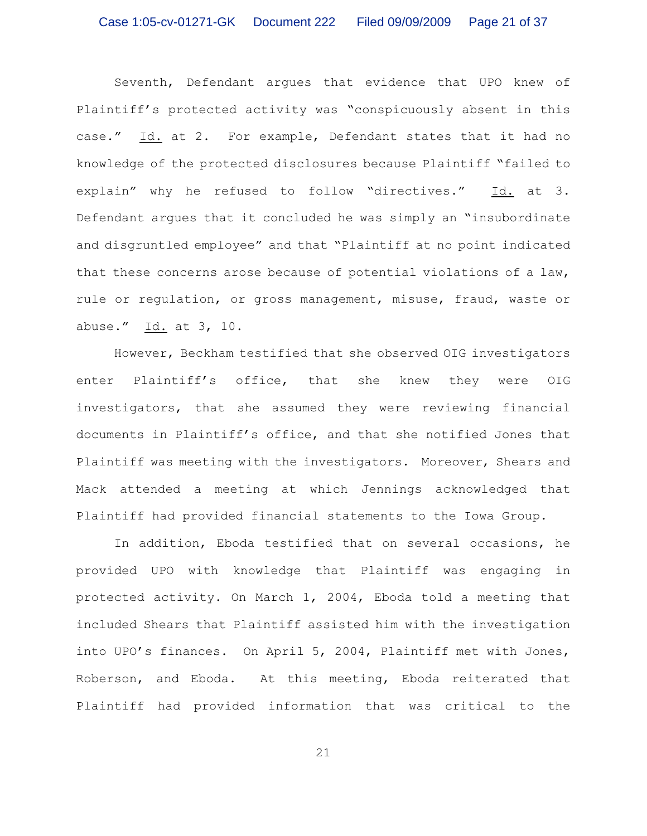Seventh, Defendant argues that evidence that UPO knew of Plaintiff's protected activity was "conspicuously absent in this case." Id. at 2. For example, Defendant states that it had no knowledge of the protected disclosures because Plaintiff "failed to explain" why he refused to follow "directives." Id. at 3. Defendant argues that it concluded he was simply an "insubordinate and disgruntled employee" and that "Plaintiff at no point indicated that these concerns arose because of potential violations of a law, rule or regulation, or gross management, misuse, fraud, waste or abuse." Id. at 3, 10.

However, Beckham testified that she observed OIG investigators enter Plaintiff's office, that she knew they were OIG investigators, that she assumed they were reviewing financial documents in Plaintiff's office, and that she notified Jones that Plaintiff was meeting with the investigators. Moreover, Shears and Mack attended a meeting at which Jennings acknowledged that Plaintiff had provided financial statements to the Iowa Group.

In addition, Eboda testified that on several occasions, he provided UPO with knowledge that Plaintiff was engaging in protected activity. On March 1, 2004, Eboda told a meeting that included Shears that Plaintiff assisted him with the investigation into UPO's finances. On April 5, 2004, Plaintiff met with Jones, Roberson, and Eboda. At this meeting, Eboda reiterated that Plaintiff had provided information that was critical to the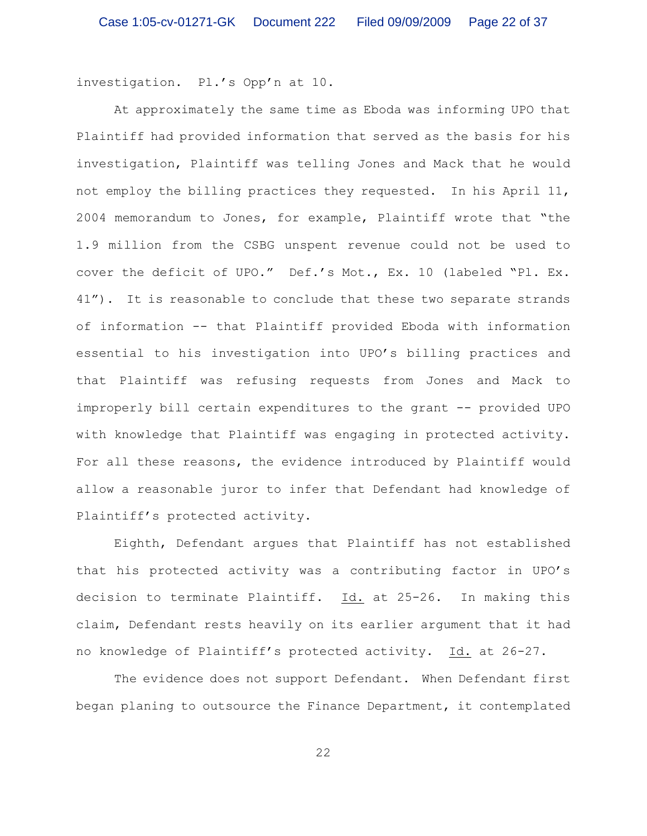investigation. Pl.'s Opp'n at 10.

At approximately the same time as Eboda was informing UPO that Plaintiff had provided information that served as the basis for his investigation, Plaintiff was telling Jones and Mack that he would not employ the billing practices they requested. In his April 11, 2004 memorandum to Jones, for example, Plaintiff wrote that "the 1.9 million from the CSBG unspent revenue could not be used to cover the deficit of UPO." Def.'s Mot., Ex. 10 (labeled "Pl. Ex. 41"). It is reasonable to conclude that these two separate strands of information -- that Plaintiff provided Eboda with information essential to his investigation into UPO's billing practices and that Plaintiff was refusing requests from Jones and Mack to improperly bill certain expenditures to the grant -- provided UPO with knowledge that Plaintiff was engaging in protected activity. For all these reasons, the evidence introduced by Plaintiff would allow a reasonable juror to infer that Defendant had knowledge of Plaintiff's protected activity.

Eighth, Defendant argues that Plaintiff has not established that his protected activity was a contributing factor in UPO's decision to terminate Plaintiff. Id. at 25-26. In making this claim, Defendant rests heavily on its earlier argument that it had no knowledge of Plaintiff's protected activity. Id. at 26-27.

The evidence does not support Defendant. When Defendant first began planing to outsource the Finance Department, it contemplated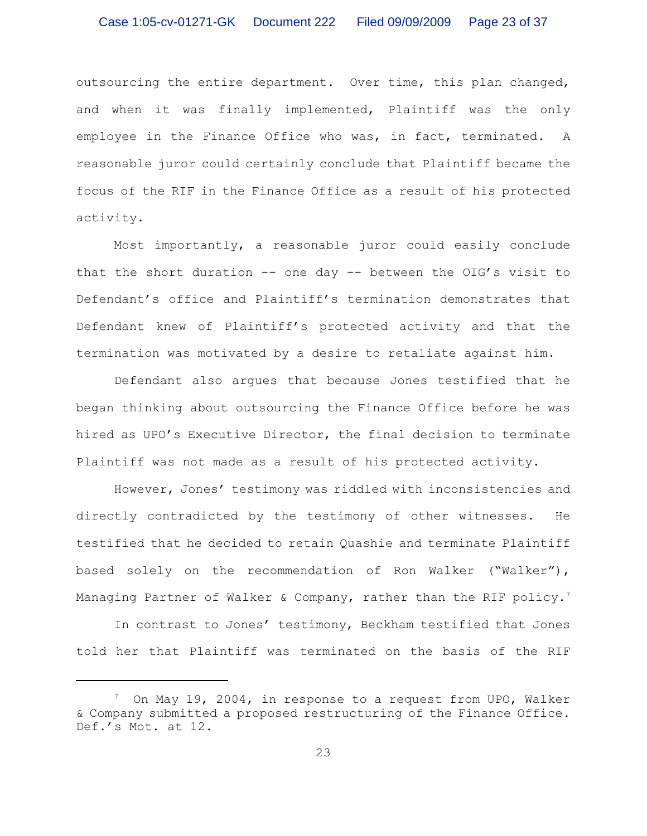outsourcing the entire department. Over time, this plan changed, and when it was finally implemented, Plaintiff was the only employee in the Finance Office who was, in fact, terminated. A reasonable juror could certainly conclude that Plaintiff became the focus of the RIF in the Finance Office as a result of his protected activity.

Most importantly, a reasonable juror could easily conclude that the short duration  $--$  one day  $--$  between the OIG's visit to Defendant's office and Plaintiff's termination demonstrates that Defendant knew of Plaintiff's protected activity and that the termination was motivated by a desire to retaliate against him.

Defendant also argues that because Jones testified that he began thinking about outsourcing the Finance Office before he was hired as UPO's Executive Director, the final decision to terminate Plaintiff was not made as a result of his protected activity.

However, Jones' testimony was riddled with inconsistencies and directly contradicted by the testimony of other witnesses. He testified that he decided to retain Quashie and terminate Plaintiff based solely on the recommendation of Ron Walker ("Walker"), Managing Partner of Walker & Company, rather than the RIF policy.<sup>7</sup>

In contrast to Jones' testimony, Beckham testified that Jones told her that Plaintiff was terminated on the basis of the RIF

 $^7$  On May 19, 2004, in response to a request from UPO, Walker & Company submitted a proposed restructuring of the Finance Office. Def.'s Mot. at 12.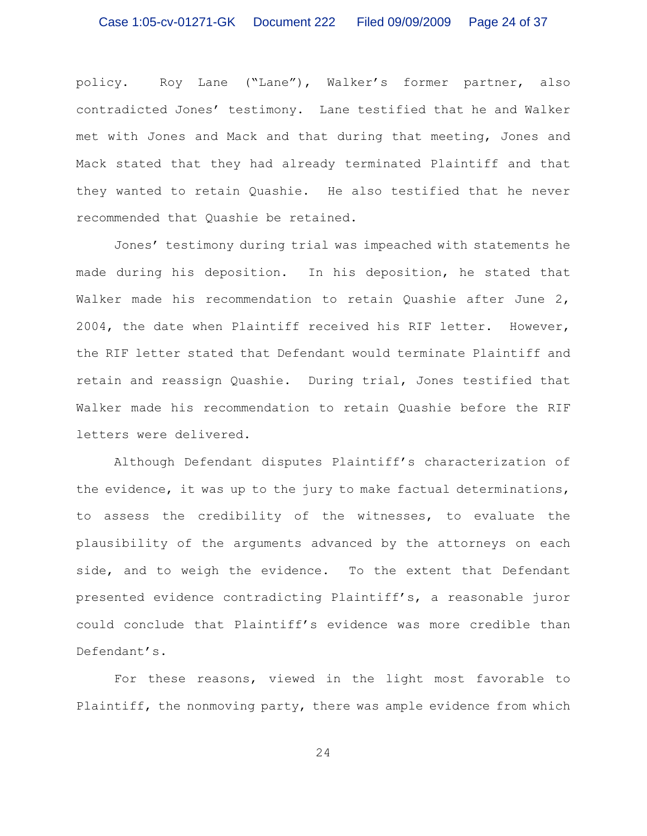policy. Roy Lane ("Lane"), Walker's former partner, also contradicted Jones' testimony. Lane testified that he and Walker met with Jones and Mack and that during that meeting, Jones and Mack stated that they had already terminated Plaintiff and that they wanted to retain Quashie. He also testified that he never recommended that Quashie be retained.

Jones' testimony during trial was impeached with statements he made during his deposition. In his deposition, he stated that Walker made his recommendation to retain Quashie after June 2, 2004, the date when Plaintiff received his RIF letter. However, the RIF letter stated that Defendant would terminate Plaintiff and retain and reassign Quashie. During trial, Jones testified that Walker made his recommendation to retain Quashie before the RIF letters were delivered.

Although Defendant disputes Plaintiff's characterization of the evidence, it was up to the jury to make factual determinations, to assess the credibility of the witnesses, to evaluate the plausibility of the arguments advanced by the attorneys on each side, and to weigh the evidence. To the extent that Defendant presented evidence contradicting Plaintiff's, a reasonable juror could conclude that Plaintiff's evidence was more credible than Defendant's.

For these reasons, viewed in the light most favorable to Plaintiff, the nonmoving party, there was ample evidence from which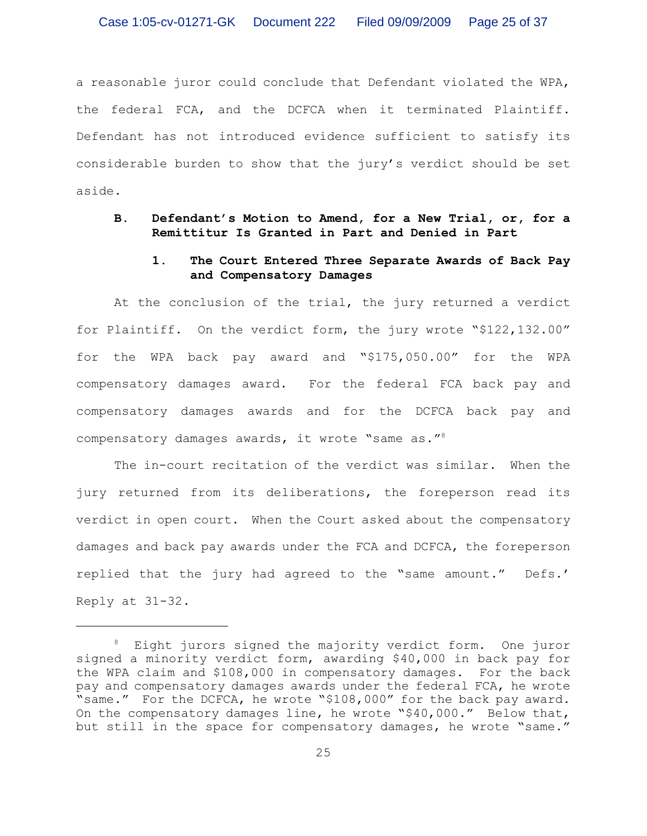a reasonable juror could conclude that Defendant violated the WPA, the federal FCA, and the DCFCA when it terminated Plaintiff. Defendant has not introduced evidence sufficient to satisfy its considerable burden to show that the jury's verdict should be set aside.

### **B. Defendant's Motion to Amend, for a New Trial, or, for a Remittitur Is Granted in Part and Denied in Part**

# **1. The Court Entered Three Separate Awards of Back Pay and Compensatory Damages**

At the conclusion of the trial, the jury returned a verdict for Plaintiff. On the verdict form, the jury wrote "\$122,132.00" for the WPA back pay award and "\$175,050.00" for the WPA compensatory damages award. For the federal FCA back pay and compensatory damages awards and for the DCFCA back pay and compensatory damages awards, it wrote "same as."<sup>8</sup>

The in-court recitation of the verdict was similar. When the jury returned from its deliberations, the foreperson read its verdict in open court. When the Court asked about the compensatory damages and back pay awards under the FCA and DCFCA, the foreperson replied that the jury had agreed to the "same amount." Defs.' Reply at 31-32.

 $8$  Eight jurors signed the majority verdict form. One juror signed a minority verdict form, awarding \$40,000 in back pay for the WPA claim and \$108,000 in compensatory damages. For the back pay and compensatory damages awards under the federal FCA, he wrote "same." For the DCFCA, he wrote "\$108,000" for the back pay award. On the compensatory damages line, he wrote "\$40,000." Below that, but still in the space for compensatory damages, he wrote "same."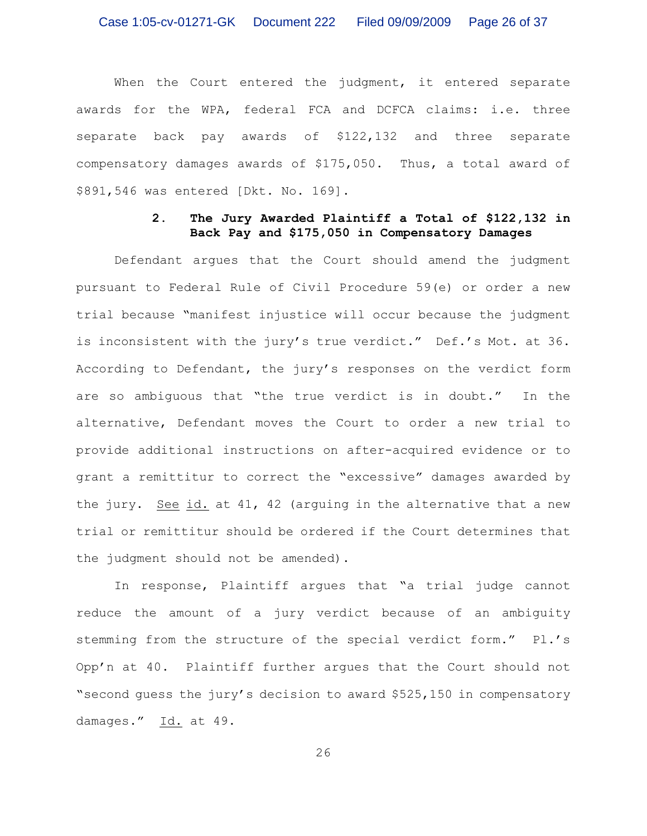When the Court entered the judgment, it entered separate awards for the WPA, federal FCA and DCFCA claims: i.e. three separate back pay awards of \$122,132 and three separate compensatory damages awards of \$175,050. Thus, a total award of \$891,546 was entered [Dkt. No. 169].

# **2. The Jury Awarded Plaintiff a Total of \$122,132 in Back Pay and \$175,050 in Compensatory Damages**

Defendant argues that the Court should amend the judgment pursuant to Federal Rule of Civil Procedure 59(e) or order a new trial because "manifest injustice will occur because the judgment is inconsistent with the jury's true verdict." Def.'s Mot. at 36. According to Defendant, the jury's responses on the verdict form are so ambiguous that "the true verdict is in doubt." In the alternative, Defendant moves the Court to order a new trial to provide additional instructions on after-acquired evidence or to grant a remittitur to correct the "excessive" damages awarded by the jury. See id. at 41, 42 (arguing in the alternative that a new trial or remittitur should be ordered if the Court determines that the judgment should not be amended).

In response, Plaintiff argues that "a trial judge cannot reduce the amount of a jury verdict because of an ambiguity stemming from the structure of the special verdict form." Pl.'s Opp'n at 40. Plaintiff further argues that the Court should not "second guess the jury's decision to award \$525,150 in compensatory damages." Id. at 49.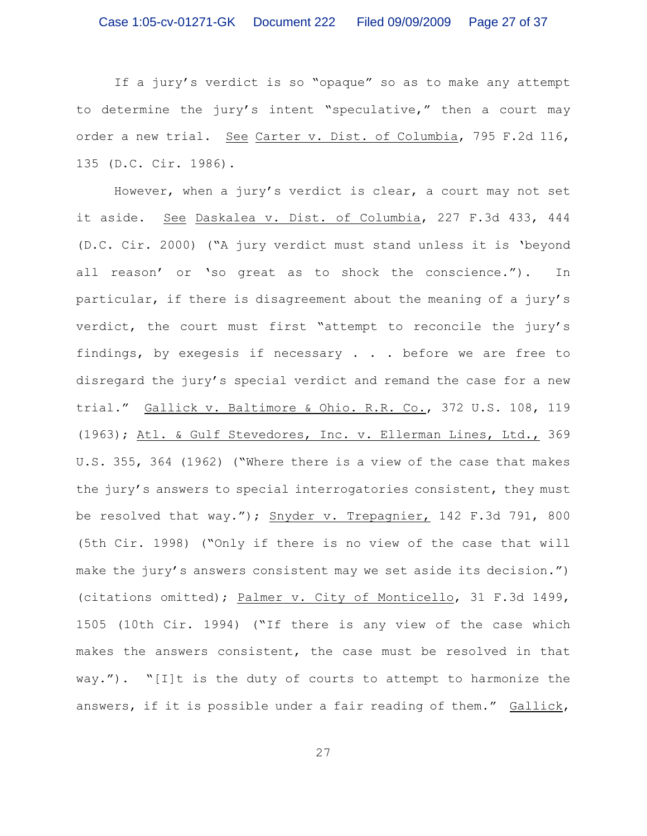If a jury's verdict is so "opaque" so as to make any attempt to determine the jury's intent "speculative," then a court may order a new trial. See Carter v. Dist. of Columbia, 795 F.2d 116, 135 (D.C. Cir. 1986).

However, when a jury's verdict is clear, a court may not set it aside. See Daskalea v. Dist. of Columbia, 227 F.3d 433, 444 (D.C. Cir. 2000) ("A jury verdict must stand unless it is 'beyond all reason' or 'so great as to shock the conscience."). In particular, if there is disagreement about the meaning of a jury's verdict, the court must first "attempt to reconcile the jury's findings, by exegesis if necessary  $\cdot \cdot \cdot$  before we are free to disregard the jury's special verdict and remand the case for a new trial." Gallick v. Baltimore & Ohio. R.R. Co., 372 U.S. 108, 119 (1963); Atl. & Gulf Stevedores, Inc. v. Ellerman Lines, Ltd., 369 U.S. 355, 364 (1962) ("Where there is a view of the case that makes the jury's answers to special interrogatories consistent, they must be resolved that way."); Snyder v. Trepagnier, 142 F.3d 791, 800 (5th Cir. 1998) ("Only if there is no view of the case that will make the jury's answers consistent may we set aside its decision.") (citations omitted); Palmer v. City of Monticello, 31 F.3d 1499, 1505 (10th Cir. 1994) ("If there is any view of the case which makes the answers consistent, the case must be resolved in that way."). "[I]t is the duty of courts to attempt to harmonize the answers, if it is possible under a fair reading of them." Gallick,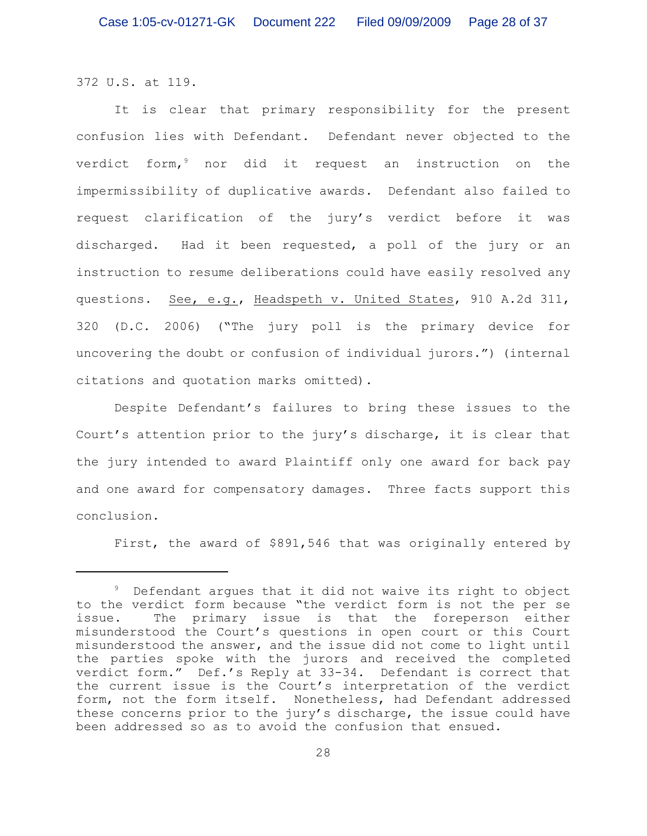372 U.S. at 119.

It is clear that primary responsibility for the present confusion lies with Defendant. Defendant never objected to the verdict form, nor did it request an instruction on the impermissibility of duplicative awards. Defendant also failed to request clarification of the jury's verdict before it was discharged. Had it been requested, a poll of the jury or an instruction to resume deliberations could have easily resolved any questions. See, e.g., Headspeth v. United States, 910 A.2d 311, 320 (D.C. 2006) ("The jury poll is the primary device for uncovering the doubt or confusion of individual jurors.") (internal citations and quotation marks omitted).

Despite Defendant's failures to bring these issues to the Court's attention prior to the jury's discharge, it is clear that the jury intended to award Plaintiff only one award for back pay and one award for compensatory damages. Three facts support this conclusion.

First, the award of \$891,546 that was originally entered by

 $9$  Defendant argues that it did not waive its right to object to the verdict form because "the verdict form is not the per se issue. The primary issue is that the foreperson either misunderstood the Court's questions in open court or this Court misunderstood the answer, and the issue did not come to light until the parties spoke with the jurors and received the completed verdict form." Def.'s Reply at 33-34. Defendant is correct that the current issue is the Court's interpretation of the verdict form, not the form itself. Nonetheless, had Defendant addressed these concerns prior to the jury's discharge, the issue could have been addressed so as to avoid the confusion that ensued.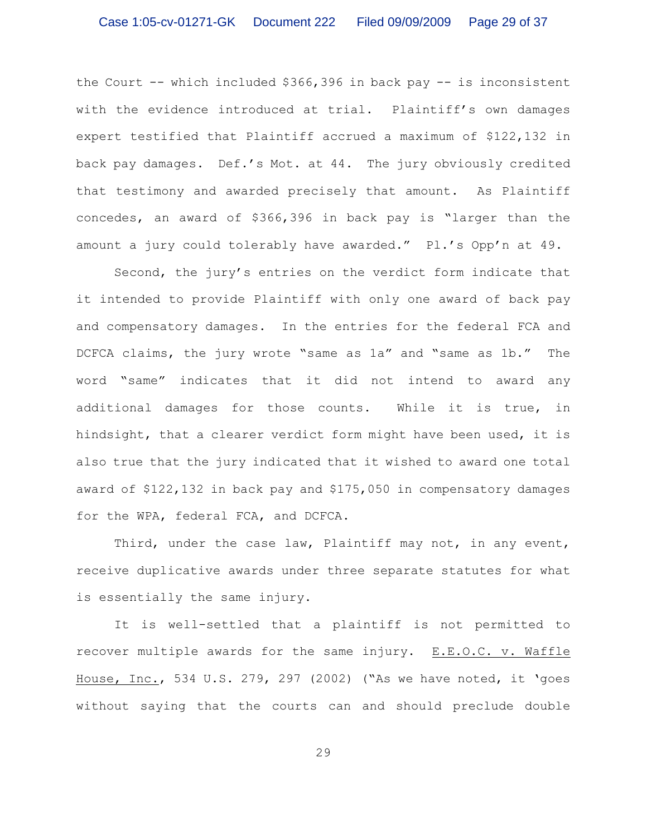the Court  $--$  which included \$366,396 in back pay  $--$  is inconsistent with the evidence introduced at trial. Plaintiff's own damages expert testified that Plaintiff accrued a maximum of \$122,132 in back pay damages. Def.'s Mot. at 44. The jury obviously credited that testimony and awarded precisely that amount. As Plaintiff concedes, an award of \$366,396 in back pay is "larger than the amount a jury could tolerably have awarded." Pl.'s Opp'n at 49.

Second, the jury's entries on the verdict form indicate that it intended to provide Plaintiff with only one award of back pay and compensatory damages. In the entries for the federal FCA and DCFCA claims, the jury wrote "same as 1a" and "same as 1b." The word "same" indicates that it did not intend to award any additional damages for those counts. While it is true, in hindsight, that a clearer verdict form might have been used, it is also true that the jury indicated that it wished to award one total award of \$122,132 in back pay and \$175,050 in compensatory damages for the WPA, federal FCA, and DCFCA.

Third, under the case law, Plaintiff may not, in any event, receive duplicative awards under three separate statutes for what is essentially the same injury.

It is well-settled that a plaintiff is not permitted to recover multiple awards for the same injury. E.E.O.C. v. Waffle House, Inc., 534 U.S. 279, 297 (2002) ("As we have noted, it 'goes without saying that the courts can and should preclude double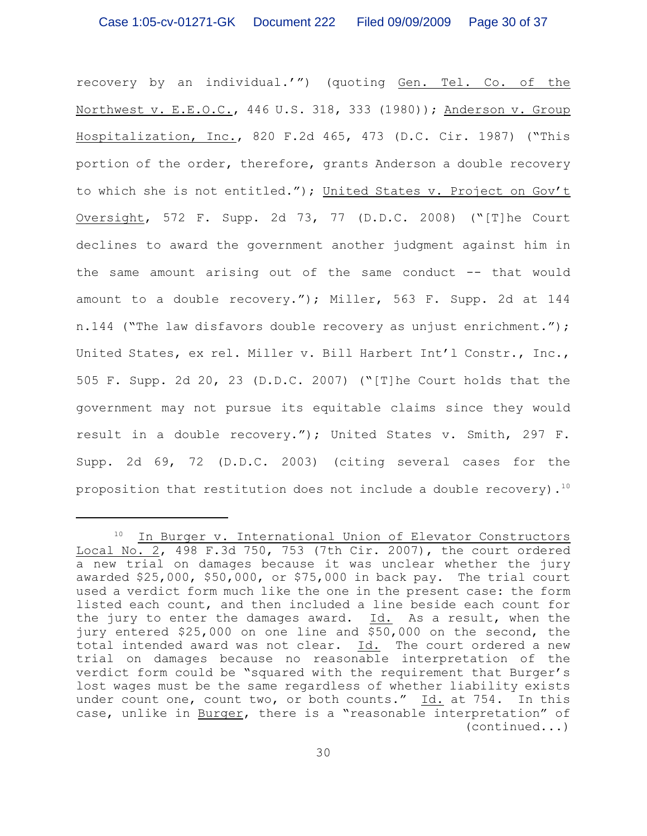recovery by an individual.'") (quoting Gen. Tel. Co. of the Northwest v. E.E.O.C., 446 U.S. 318, 333 (1980)); Anderson v. Group Hospitalization, Inc., 820 F.2d 465, 473 (D.C. Cir. 1987) ("This portion of the order, therefore, grants Anderson a double recovery to which she is not entitled."); United States v. Project on Gov't Oversight, 572 F. Supp. 2d 73, 77 (D.D.C. 2008) ("[T]he Court declines to award the government another judgment against him in the same amount arising out of the same conduct -- that would amount to a double recovery."); Miller, 563 F. Supp. 2d at 144 n.144 ("The law disfavors double recovery as unjust enrichment."); United States, ex rel. Miller v. Bill Harbert Int'l Constr., Inc., 505 F. Supp. 2d 20, 23 (D.D.C. 2007) ("[T]he Court holds that the government may not pursue its equitable claims since they would result in a double recovery."); United States v. Smith, 297 F. Supp. 2d 69, 72 (D.D.C. 2003) (citing several cases for the proposition that restitution does not include a double recovery).<sup>10</sup>

 $10$  In Burger v. International Union of Elevator Constructors Local No. 2, 498 F.3d 750, 753 (7th Cir. 2007), the court ordered a new trial on damages because it was unclear whether the jury awarded \$25,000, \$50,000, or \$75,000 in back pay. The trial court used a verdict form much like the one in the present case: the form listed each count, and then included a line beside each count for the jury to enter the damages award.  $Id.$  As a result, when the jury entered \$25,000 on one line and \$50,000 on the second, the total intended award was not clear. Id. The court ordered a new trial on damages because no reasonable interpretation of the verdict form could be "squared with the requirement that Burger's lost wages must be the same regardless of whether liability exists under count one, count two, or both counts." Id. at 754. In this case, unlike in Burger, there is a "reasonable interpretation" of (continued...)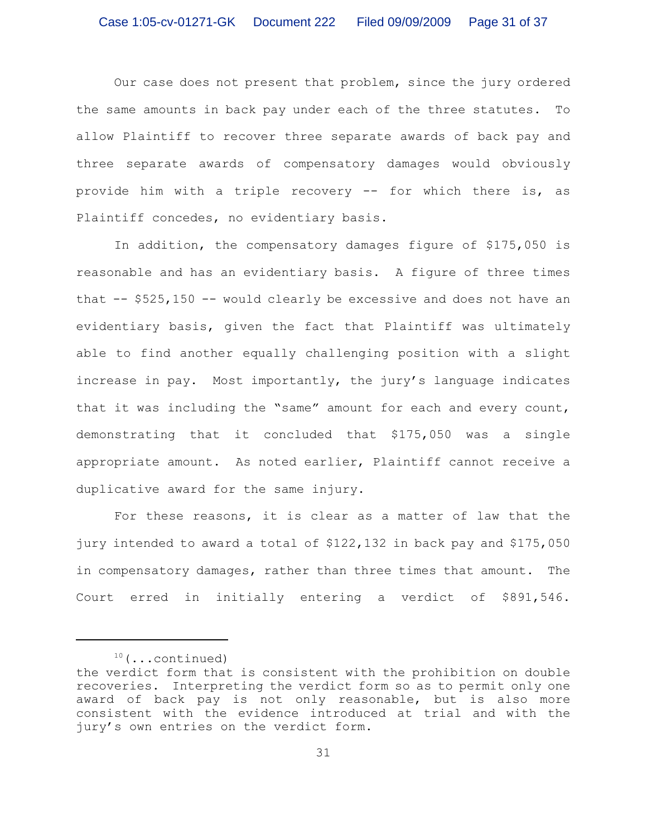Our case does not present that problem, since the jury ordered the same amounts in back pay under each of the three statutes. To allow Plaintiff to recover three separate awards of back pay and three separate awards of compensatory damages would obviously provide him with a triple recovery -- for which there is, as Plaintiff concedes, no evidentiary basis.

In addition, the compensatory damages figure of \$175,050 is reasonable and has an evidentiary basis. A figure of three times that -- \$525,150 -- would clearly be excessive and does not have an evidentiary basis, given the fact that Plaintiff was ultimately able to find another equally challenging position with a slight increase in pay. Most importantly, the jury's language indicates that it was including the "same" amount for each and every count, demonstrating that it concluded that \$175,050 was a single appropriate amount. As noted earlier, Plaintiff cannot receive a duplicative award for the same injury.

For these reasons, it is clear as a matter of law that the jury intended to award a total of \$122,132 in back pay and \$175,050 in compensatory damages, rather than three times that amount. The Court erred in initially entering a verdict of \$891,546.

 $10$  (...continued)

the verdict form that is consistent with the prohibition on double recoveries. Interpreting the verdict form so as to permit only one award of back pay is not only reasonable, but is also more consistent with the evidence introduced at trial and with the jury's own entries on the verdict form.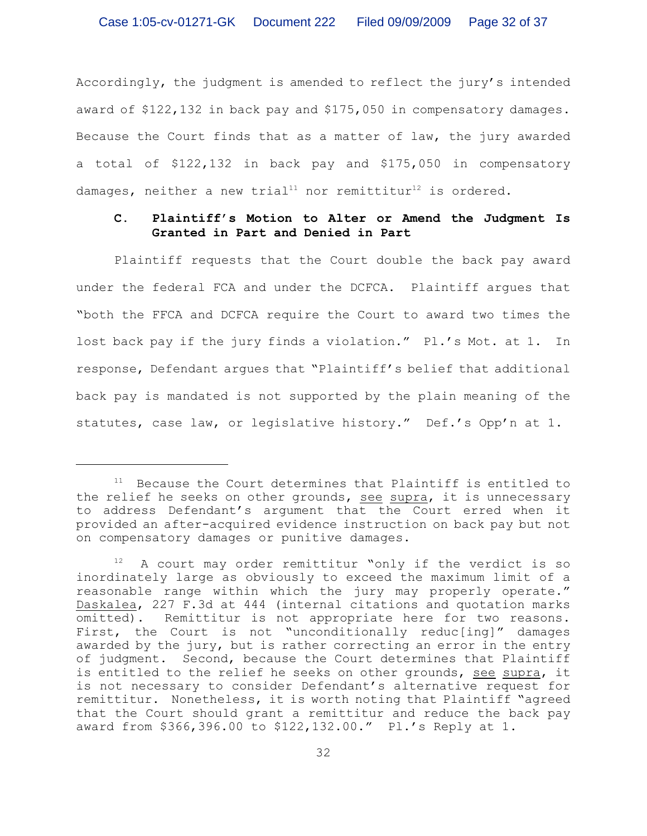Accordingly, the judgment is amended to reflect the jury's intended award of \$122,132 in back pay and \$175,050 in compensatory damages. Because the Court finds that as a matter of law, the jury awarded a total of \$122,132 in back pay and \$175,050 in compensatory damages, neither a new trial<sup>11</sup> nor remittitur<sup>12</sup> is ordered.

# **C. Plaintiff's Motion to Alter or Amend the Judgment Is Granted in Part and Denied in Part**

Plaintiff requests that the Court double the back pay award under the federal FCA and under the DCFCA. Plaintiff argues that "both the FFCA and DCFCA require the Court to award two times the lost back pay if the jury finds a violation." Pl.'s Mot. at 1. In response, Defendant argues that "Plaintiff's belief that additional back pay is mandated is not supported by the plain meaning of the statutes, case law, or legislative history." Def.'s Opp'n at 1.

 $11$  Because the Court determines that Plaintiff is entitled to the relief he seeks on other grounds, see supra, it is unnecessary to address Defendant's argument that the Court erred when it provided an after-acquired evidence instruction on back pay but not on compensatory damages or punitive damages.

 $12$  A court may order remittitur "only if the verdict is so inordinately large as obviously to exceed the maximum limit of a reasonable range within which the jury may properly operate." Daskalea, 227 F.3d at 444 (internal citations and quotation marks omitted). Remittitur is not appropriate here for two reasons. First, the Court is not "unconditionally reduc[ing]" damages awarded by the jury, but is rather correcting an error in the entry of judgment. Second, because the Court determines that Plaintiff is entitled to the relief he seeks on other grounds, see supra, it is not necessary to consider Defendant's alternative request for remittitur. Nonetheless, it is worth noting that Plaintiff "agreed that the Court should grant a remittitur and reduce the back pay award from \$366,396.00 to \$122,132.00." Pl.'s Reply at 1.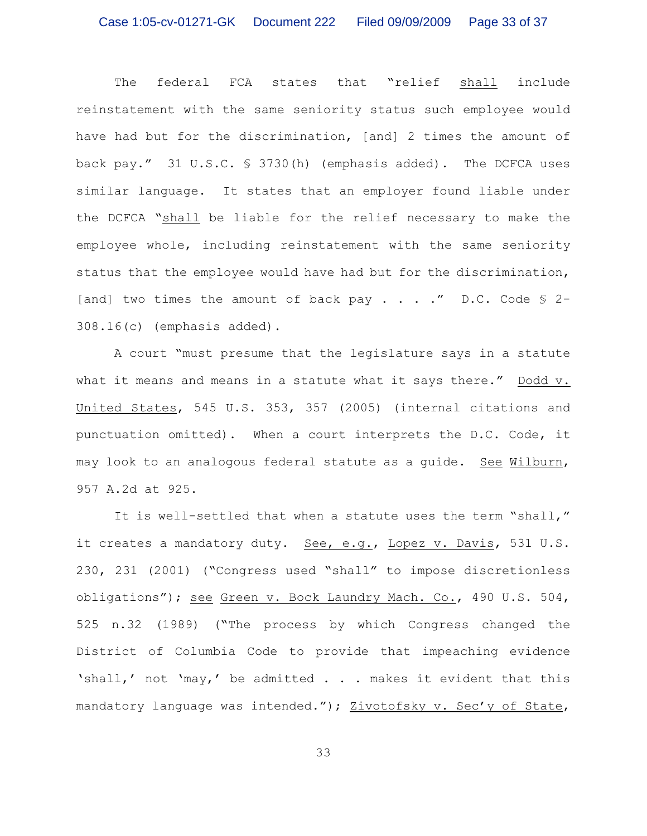The federal FCA states that "relief shall include reinstatement with the same seniority status such employee would have had but for the discrimination, [and] 2 times the amount of back pay." 31 U.S.C. § 3730(h) (emphasis added). The DCFCA uses similar language. It states that an employer found liable under the DCFCA "shall be liable for the relief necessary to make the employee whole, including reinstatement with the same seniority status that the employee would have had but for the discrimination, [and] two times the amount of back pay . . . ." D.C. Code § 2-308.16(c) (emphasis added).

A court "must presume that the legislature says in a statute what it means and means in a statute what it says there." Dodd v. United States, 545 U.S. 353, 357 (2005) (internal citations and punctuation omitted). When a court interprets the D.C. Code, it may look to an analogous federal statute as a guide. See Wilburn, 957 A.2d at 925.

It is well-settled that when a statute uses the term "shall," it creates a mandatory duty. See, e.g., Lopez v. Davis, 531 U.S. 230, 231 (2001) ("Congress used "shall" to impose discretionless obligations"); see Green v. Bock Laundry Mach. Co., 490 U.S. 504, 525 n.32 (1989) ("The process by which Congress changed the District of Columbia Code to provide that impeaching evidence 'shall,' not 'may,' be admitted . . . makes it evident that this mandatory language was intended."); Zivotofsky v. Sec'y of State,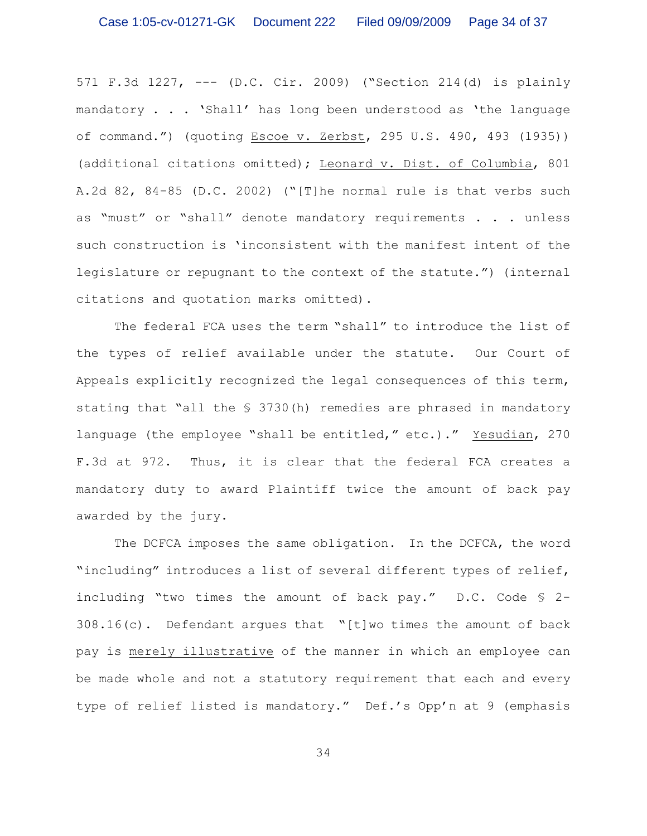571 F.3d 1227, --- (D.C. Cir. 2009) ("Section 214(d) is plainly mandatory . . . 'Shall' has long been understood as 'the language of command.") (quoting Escoe v. Zerbst, 295 U.S. 490, 493 (1935)) (additional citations omitted); Leonard v. Dist. of Columbia, 801 A.2d 82, 84-85 (D.C. 2002) ("[T]he normal rule is that verbs such as "must" or "shall" denote mandatory requirements . . . unless such construction is 'inconsistent with the manifest intent of the legislature or repugnant to the context of the statute.") (internal citations and quotation marks omitted).

The federal FCA uses the term "shall" to introduce the list of the types of relief available under the statute. Our Court of Appeals explicitly recognized the legal consequences of this term, stating that "all the § 3730(h) remedies are phrased in mandatory language (the employee "shall be entitled," etc.)." Yesudian, 270 F.3d at 972. Thus, it is clear that the federal FCA creates a mandatory duty to award Plaintiff twice the amount of back pay awarded by the jury.

The DCFCA imposes the same obligation. In the DCFCA, the word "including" introduces a list of several different types of relief, including "two times the amount of back pay." D.C. Code § 2- 308.16(c). Defendant argues that "[t]wo times the amount of back pay is merely illustrative of the manner in which an employee can be made whole and not a statutory requirement that each and every type of relief listed is mandatory." Def.'s Opp'n at 9 (emphasis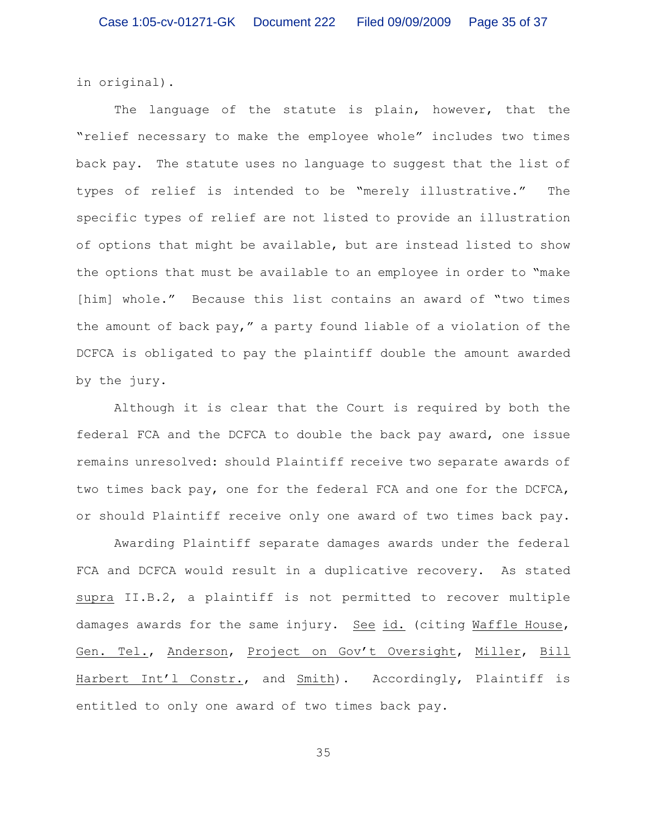in original).

The language of the statute is plain, however, that the "relief necessary to make the employee whole" includes two times back pay. The statute uses no language to suggest that the list of types of relief is intended to be "merely illustrative." The specific types of relief are not listed to provide an illustration of options that might be available, but are instead listed to show the options that must be available to an employee in order to "make [him] whole." Because this list contains an award of "two times the amount of back pay," a party found liable of a violation of the DCFCA is obligated to pay the plaintiff double the amount awarded by the jury.

Although it is clear that the Court is required by both the federal FCA and the DCFCA to double the back pay award, one issue remains unresolved: should Plaintiff receive two separate awards of two times back pay, one for the federal FCA and one for the DCFCA, or should Plaintiff receive only one award of two times back pay.

Awarding Plaintiff separate damages awards under the federal FCA and DCFCA would result in a duplicative recovery. As stated supra II.B.2, a plaintiff is not permitted to recover multiple damages awards for the same injury. See id. (citing Waffle House, Gen. Tel., Anderson, Project on Gov't Oversight, Miller, Bill Harbert Int'l Constr., and Smith). Accordingly, Plaintiff is entitled to only one award of two times back pay.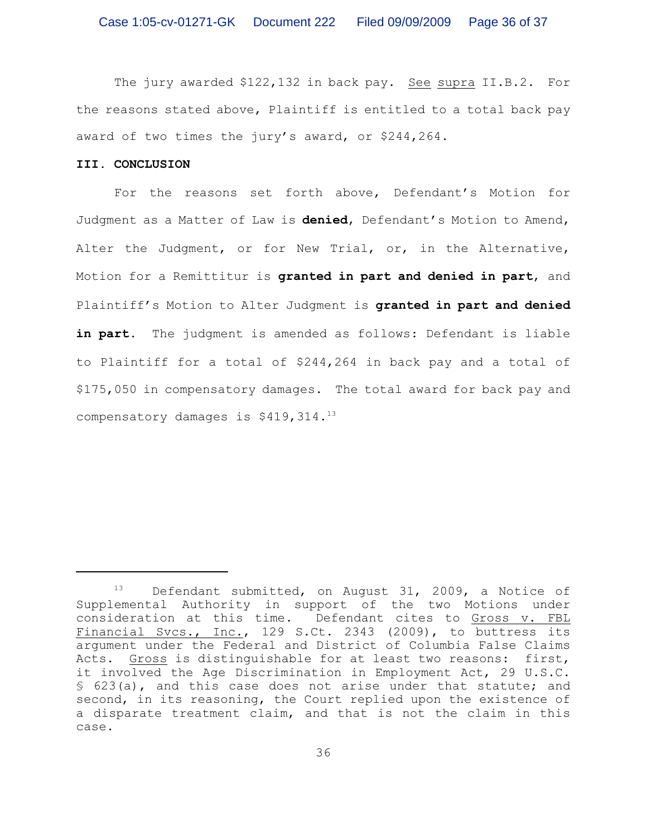The jury awarded \$122,132 in back pay. See supra II.B.2. For the reasons stated above, Plaintiff is entitled to a total back pay award of two times the jury's award, or \$244,264.

### **III. CONCLUSION**

For the reasons set forth above, Defendant's Motion for Judgment as a Matter of Law is **denied**, Defendant's Motion to Amend, Alter the Judgment, or for New Trial, or, in the Alternative, Motion for a Remittitur is **granted in part and denied in part**, and Plaintiff's Motion to Alter Judgment is **granted in part and denied in part**.The judgment is amended as follows: Defendant is liable to Plaintiff for a total of \$244,264 in back pay and a total of \$175,050 in compensatory damages. The total award for back pay and compensatory damages is \$419,314.13

 $13$  Defendant submitted, on August 31, 2009, a Notice of Supplemental Authority in support of the two Motions under consideration at this time. Defendant cites to Gross v. FBL Financial Svcs., Inc., 129 S.Ct. 2343 (2009), to buttress its argument under the Federal and District of Columbia False Claims Acts. Gross is distinguishable for at least two reasons: first, it involved the Age Discrimination in Employment Act, 29 U.S.C. § 623(a), and this case does not arise under that statute; and second, in its reasoning, the Court replied upon the existence of a disparate treatment claim, and that is not the claim in this case.